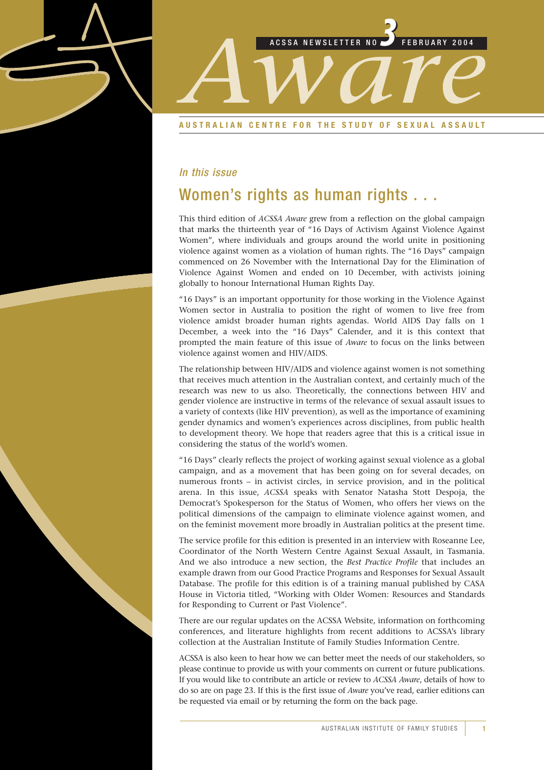

### **AUSTRALIAN CENTRE FOR THE STUDY OF SEXUAL ASSAULT**

## *In this issue*

# Women's rights as human rights . . .

This third edition of *ACSSA Aware* grew from a reflection on the global campaign that marks the thirteenth year of "16 Days of Activism Against Violence Against Women", where individuals and groups around the world unite in positioning violence against women as a violation of human rights. The "16 Days" campaign commenced on 26 November with the International Day for the Elimination of Violence Against Women and ended on 10 December, with activists joining globally to honour International Human Rights Day.

"16 Days" is an important opportunity for those working in the Violence Against Women sector in Australia to position the right of women to live free from violence amidst broader human rights agendas. World AIDS Day falls on 1 December, a week into the "16 Days" Calender, and it is this context that prompted the main feature of this issue of *Aware* to focus on the links between violence against women and HIV/AIDS.

The relationship between HIV/AIDS and violence against women is not something that receives much attention in the Australian context, and certainly much of the research was new to us also. Theoretically, the connections between HIV and gender violence are instructive in terms of the relevance of sexual assault issues to a variety of contexts (like HIV prevention), as well as the importance of examining gender dynamics and women's experiences across disciplines, from public health to development theory. We hope that readers agree that this is a critical issue in considering the status of the world's women.

"16 Days" clearly reflects the project of working against sexual violence as a global campaign, and as a movement that has been going on for several decades, on numerous fronts – in activist circles, in service provision, and in the political arena. In this issue, *ACSSA* speaks with Senator Natasha Stott Despoja, the Democrat's Spokesperson for the Status of Women, who offers her views on the political dimensions of the campaign to eliminate violence against women, and on the feminist movement more broadly in Australian politics at the present time.

The service profile for this edition is presented in an interview with Roseanne Lee, Coordinator of the North Western Centre Against Sexual Assault, in Tasmania. And we also introduce a new section, the *Best Practice Profile* that includes an example drawn from our Good Practice Programs and Responses for Sexual Assault Database. The profile for this edition is of a training manual published by CASA House in Victoria titled*,* "Working with Older Women: Resources and Standards for Responding to Current or Past Violence".

There are our regular updates on the ACSSA Website, information on forthcoming conferences, and literature highlights from recent additions to ACSSA's library collection at the Australian Institute of Family Studies Information Centre.

ACSSA is also keen to hear how we can better meet the needs of our stakeholders, so please continue to provide us with your comments on current or future publications. If you would like to contribute an article or review to *ACSSA Aware*, details of how to do so are on page 23. If this is the first issue of *Aware* you've read, earlier editions can be requested via email or by returning the form on the back page.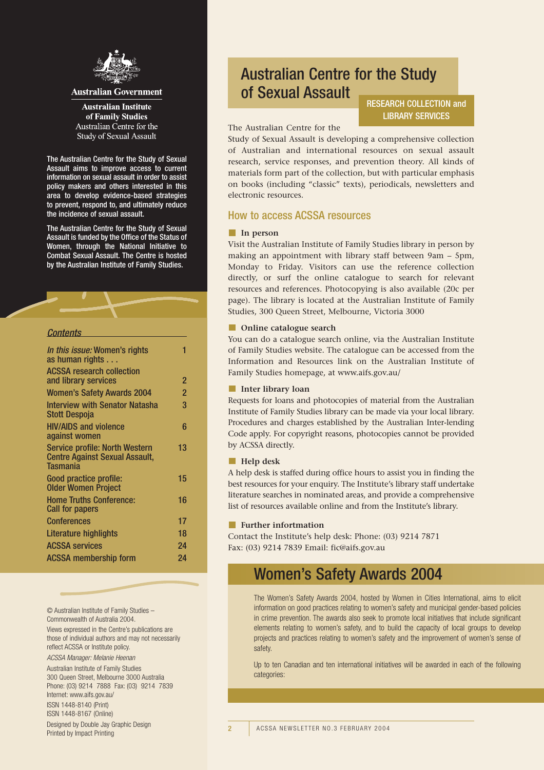

**Australian Government** 

**Australian Institute** of Family Studies Australian Centre for the **Study of Sexual Assault** 

The Australian Centre for the Study of Sexual Assault aims to improve access to current information on sexual assault in order to assist policy makers and others interested in this area to develop evidence-based strategies to prevent, respond to, and ultimately reduce the incidence of sexual assault.

The Australian Centre for the Study of Sexual Assault is funded by the Office of the Status of Women, through the National Initiative to Combat Sexual Assault. The Centre is hosted by the Australian Institute of Family Studies.

### *Contents*

| <i>In this issue:</i> Women's rights<br>as human rights                             | 1              |
|-------------------------------------------------------------------------------------|----------------|
| <b>ACSSA research collection</b><br>and library services                            | $\overline{2}$ |
| <b>Women's Safety Awards 2004</b>                                                   | $\overline{2}$ |
| <b>Interview with Senator Natasha</b><br>Stott Despoja                              | 3              |
| <b>HIV/AIDS and violence</b><br>against women                                       | 6              |
| Service profile: North Western<br><b>Centre Against Sexual Assault,</b><br>Tasmania | 13             |
| Good practice profile:<br><b>Older Women Project</b>                                | 15             |
| <b>Home Truths Conference:</b><br><b>Call for papers</b>                            | 16             |
| <b>Conferences</b>                                                                  | 17             |
| Literature highlights                                                               | 18             |
| <b>ACSSA services</b>                                                               | 24             |
| <b>ACSSA membership form</b>                                                        | 24             |

© Australian Institute of Family Studies – Commonwealth of Australia 2004. Views expressed in the Centre's publications are those of individual authors and may not necessarily reflect ACSSA or Institute policy. *ACSSA Manager: Melanie Heenan* Australian Institute of Family Studies

300 Queen Street, Melbourne 3000 Australia Phone: (03) 9214 7888 Fax: (03) 9214 7839 Internet: www.aifs.gov.au/ ISSN 1448-8140 (Print) ISSN 1448-8167 (Online) Designed by Double Jay Graphic Design Printed by Impact Printing

# Australian Centre for the Study of Sexual Assault

RESEARCH COLLECTION and LIBRARY SERVICES

### The Australian Centre for the

Study of Sexual Assault is developing a comprehensive collection of Australian and international resources on sexual assault research, service responses, and prevention theory. All kinds of materials form part of the collection, but with particular emphasis on books (including "classic" texts), periodicals, newsletters and electronic resources.

### How to access ACSSA resources

#### **In person**

Visit the Australian Institute of Family Studies library in person by making an appointment with library staff between 9am – 5pm, Monday to Friday. Visitors can use the reference collection directly, or surf the online catalogue to search for relevant resources and references. Photocopying is also available (20c per page). The library is located at the Australian Institute of Family Studies, 300 Queen Street, Melbourne, Victoria 3000

#### **Online catalogue search**

You can do a catalogue search online, via the Australian Institute of Family Studies website. The catalogue can be accessed from the Information and Resources link on the Australian Institute of Family Studies homepage, at www.aifs.gov.au/

#### **Inter library loan**

Requests for loans and photocopies of material from the Australian Institute of Family Studies library can be made via your local library. Procedures and charges established by the Australian Inter-lending Code apply. For copyright reasons, photocopies cannot be provided by ACSSA directly.

#### **Help desk**

A help desk is staffed during office hours to assist you in finding the best resources for your enquiry. The Institute's library staff undertake literature searches in nominated areas, and provide a comprehensive list of resources available online and from the Institute's library.

#### **Further infortmation**

Contact the Institute's help desk: Phone: (03) 9214 7871 Fax: (03) 9214 7839 Email: fic@aifs.gov.au

# Women's Safety Awards 2004

The Women's Safety Awards 2004, hosted by Women in Cities International, aims to elicit information on good practices relating to women's safety and municipal gender-based policies in crime prevention. The awards also seek to promote local initiatives that include significant elements relating to women's safety, and to build the capacity of local groups to develop projects and practices relating to women's safety and the improvement of women's sense of safety.

Up to ten Canadian and ten international initiatives will be awarded in each of the following categories: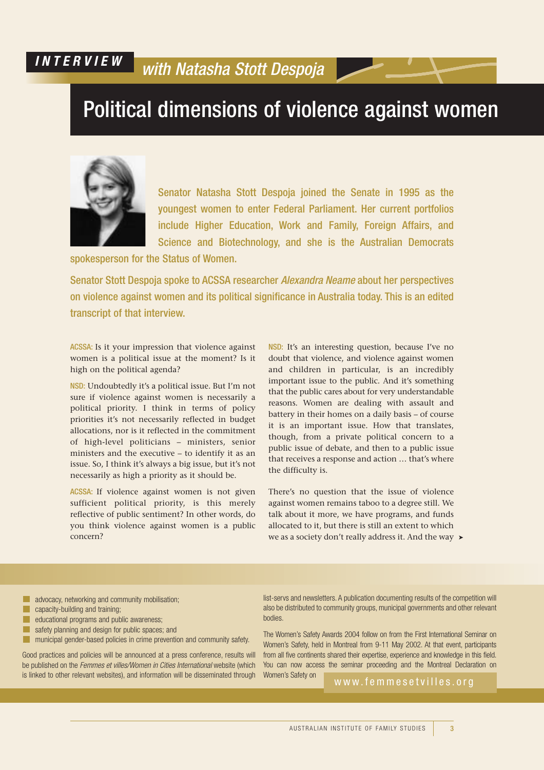# *INTERVIEW*

# Political dimensions of violence against women



Senator Natasha Stott Despoja joined the Senate in 1995 as the youngest women to enter Federal Parliament. Her current portfolios include Higher Education, Work and Family, Foreign Affairs, and Science and Biotechnology, and she is the Australian Democrats

spokesperson for the Status of Women.

Senator Stott Despoja spoke to ACSSA researcher *Alexandra Neame* about her perspectives on violence against women and its political significance in Australia today. This is an edited transcript of that interview.

ACSSA: Is it your impression that violence against women is a political issue at the moment? Is it high on the political agenda?

NSD: Undoubtedly it's a political issue. But I'm not sure if violence against women is necessarily a political priority. I think in terms of policy priorities it's not necessarily reflected in budget allocations, nor is it reflected in the commitment of high-level politicians – ministers, senior ministers and the executive – to identify it as an issue. So, I think it's always a big issue, but it's not necessarily as high a priority as it should be.

ACSSA: If violence against women is not given sufficient political priority, is this merely reflective of public sentiment? In other words, do you think violence against women is a public concern?

NSD: It's an interesting question, because I've no doubt that violence, and violence against women and children in particular, is an incredibly important issue to the public. And it's something that the public cares about for very understandable reasons. Women are dealing with assault and battery in their homes on a daily basis – of course it is an important issue. How that translates, though, from a private political concern to a public issue of debate, and then to a public issue that receives a response and action … that's where the difficulty is.

There's no question that the issue of violence against women remains taboo to a degree still. We talk about it more, we have programs, and funds allocated to it, but there is still an extent to which we as a society don't really address it. And the way  $\blacktriangleright$ 

**advocacy, networking and community mobilisation;** 

**Example:** capacity-building and training;

- educational programs and public awareness;
- safety planning and design for public spaces; and

**nunicipal gender-based policies in crime prevention and community safety.** 

Good practices and policies will be announced at a press conference, results will be published on the *Femmes et villes/Women in Cities International* website (which is linked to other relevant websites), and information will be disseminated through

list-servs and newsletters. A publication documenting results of the competition will also be distributed to community groups, municipal governments and other relevant bodies.

The Women's Safety Awards 2004 follow on from the First International Seminar on Women's Safety, held in Montreal from 9-11 May 2002. At that event, participants from all five continents shared their expertise, experience and knowledge in this field. You can now access the seminar proceeding and the Montreal Declaration on Women's Safety on

www.femmesetvilles.org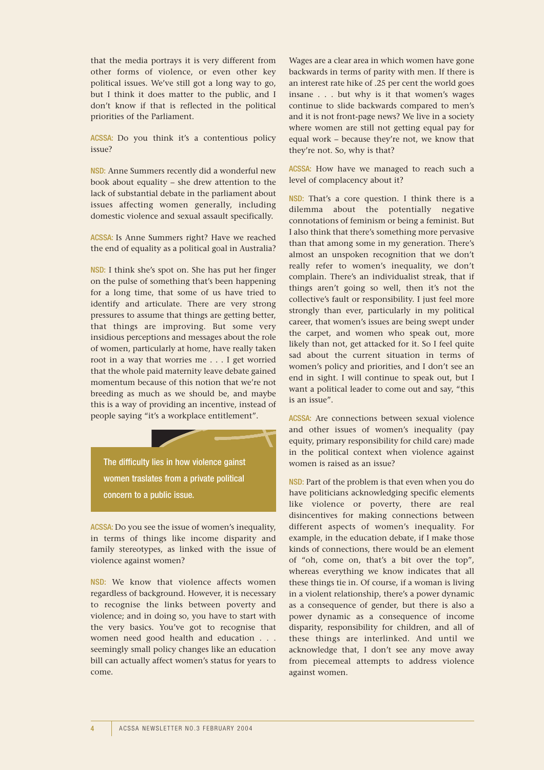that the media portrays it is very different from other forms of violence, or even other key political issues. We've still got a long way to go, but I think it does matter to the public, and I don't know if that is reflected in the political priorities of the Parliament.

ACSSA: Do you think it's a contentious policy issue?

NSD: Anne Summers recently did a wonderful new book about equality – she drew attention to the lack of substantial debate in the parliament about issues affecting women generally, including domestic violence and sexual assault specifically.

ACSSA: Is Anne Summers right? Have we reached the end of equality as a political goal in Australia?

NSD: I think she's spot on. She has put her finger on the pulse of something that's been happening for a long time, that some of us have tried to identify and articulate. There are very strong pressures to assume that things are getting better, that things are improving. But some very insidious perceptions and messages about the role of women, particularly at home, have really taken root in a way that worries me . . . I get worried that the whole paid maternity leave debate gained momentum because of this notion that we're not breeding as much as we should be, and maybe this is a way of providing an incentive, instead of people saying "it's a workplace entitlement".



ACSSA: Do you see the issue of women's inequality, in terms of things like income disparity and family stereotypes, as linked with the issue of violence against women?

NSD: We know that violence affects women regardless of background. However, it is necessary to recognise the links between poverty and violence; and in doing so, you have to start with the very basics. You've got to recognise that women need good health and education . . . seemingly small policy changes like an education bill can actually affect women's status for years to come.

Wages are a clear area in which women have gone backwards in terms of parity with men. If there is an interest rate hike of .25 per cent the world goes insane . . . but why is it that women's wages continue to slide backwards compared to men's and it is not front-page news? We live in a society where women are still not getting equal pay for equal work – because they're not, we know that they're not. So, why is that?

ACSSA: How have we managed to reach such a level of complacency about it?

NSD: That's a core question. I think there is a dilemma about the potentially negative connotations of feminism or being a feminist. But I also think that there's something more pervasive than that among some in my generation. There's almost an unspoken recognition that we don't really refer to women's inequality, we don't complain. There's an individualist streak, that if things aren't going so well, then it's not the collective's fault or responsibility. I just feel more strongly than ever, particularly in my political career, that women's issues are being swept under the carpet, and women who speak out, more likely than not, get attacked for it. So I feel quite sad about the current situation in terms of women's policy and priorities, and I don't see an end in sight. I will continue to speak out, but I want a political leader to come out and say, "this is an issue".

ACSSA: Are connections between sexual violence and other issues of women's inequality (pay equity, primary responsibility for child care) made in the political context when violence against women is raised as an issue?

NSD: Part of the problem is that even when you do have politicians acknowledging specific elements like violence or poverty, there are real disincentives for making connections between different aspects of women's inequality. For example, in the education debate, if I make those kinds of connections, there would be an element of "oh, come on, that's a bit over the top", whereas everything we know indicates that all these things tie in. Of course, if a woman is living in a violent relationship, there's a power dynamic as a consequence of gender, but there is also a power dynamic as a consequence of income disparity, responsibility for children, and all of these things are interlinked. And until we acknowledge that, I don't see any move away from piecemeal attempts to address violence against women.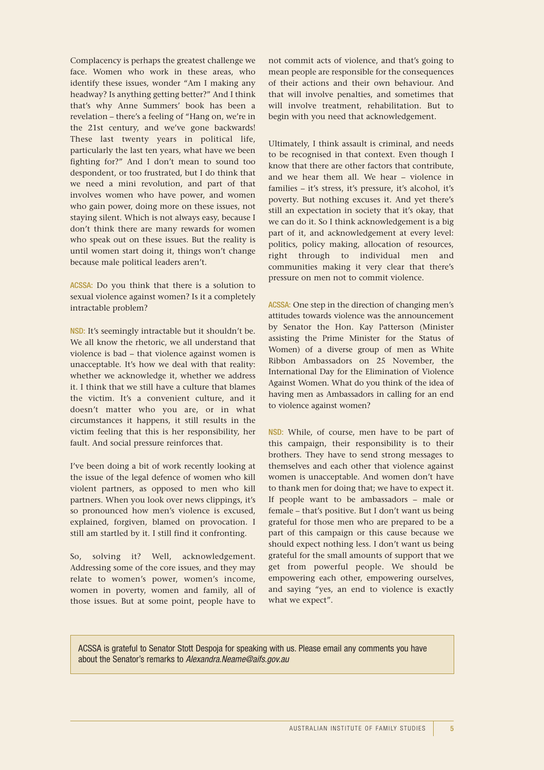Complacency is perhaps the greatest challenge we face. Women who work in these areas, who identify these issues, wonder "Am I making any headway? Is anything getting better?" And I think that's why Anne Summers' book has been a revelation – there's a feeling of "Hang on, we're in the 21st century, and we've gone backwards! These last twenty years in political life, particularly the last ten years, what have we been fighting for?" And I don't mean to sound too despondent, or too frustrated, but I do think that we need a mini revolution, and part of that involves women who have power, and women who gain power, doing more on these issues, not staying silent. Which is not always easy, because I don't think there are many rewards for women who speak out on these issues. But the reality is until women start doing it, things won't change because male political leaders aren't.

ACSSA: Do you think that there is a solution to sexual violence against women? Is it a completely intractable problem?

NSD: It's seemingly intractable but it shouldn't be. We all know the rhetoric, we all understand that violence is bad – that violence against women is unacceptable. It's how we deal with that reality: whether we acknowledge it, whether we address it. I think that we still have a culture that blames the victim. It's a convenient culture, and it doesn't matter who you are, or in what circumstances it happens, it still results in the victim feeling that this is her responsibility, her fault. And social pressure reinforces that.

I've been doing a bit of work recently looking at the issue of the legal defence of women who kill violent partners, as opposed to men who kill partners. When you look over news clippings, it's so pronounced how men's violence is excused, explained, forgiven, blamed on provocation. I still am startled by it. I still find it confronting.

So, solving it? Well, acknowledgement. Addressing some of the core issues, and they may relate to women's power, women's income, women in poverty, women and family, all of those issues. But at some point, people have to not commit acts of violence, and that's going to mean people are responsible for the consequences of their actions and their own behaviour. And that will involve penalties, and sometimes that will involve treatment, rehabilitation. But to begin with you need that acknowledgement.

Ultimately, I think assault is criminal, and needs to be recognised in that context. Even though I know that there are other factors that contribute, and we hear them all. We hear – violence in families – it's stress, it's pressure, it's alcohol, it's poverty. But nothing excuses it. And yet there's still an expectation in society that it's okay, that we can do it. So I think acknowledgement is a big part of it, and acknowledgement at every level: politics, policy making, allocation of resources, right through to individual men and communities making it very clear that there's pressure on men not to commit violence.

ACSSA: One step in the direction of changing men's attitudes towards violence was the announcement by Senator the Hon. Kay Patterson (Minister assisting the Prime Minister for the Status of Women) of a diverse group of men as White Ribbon Ambassadors on 25 November, the International Day for the Elimination of Violence Against Women. What do you think of the idea of having men as Ambassadors in calling for an end to violence against women?

NSD: While, of course, men have to be part of this campaign, their responsibility is to their brothers. They have to send strong messages to themselves and each other that violence against women is unacceptable. And women don't have to thank men for doing that; we have to expect it. If people want to be ambassadors – male or female – that's positive. But I don't want us being grateful for those men who are prepared to be a part of this campaign or this cause because we should expect nothing less. I don't want us being grateful for the small amounts of support that we get from powerful people. We should be empowering each other, empowering ourselves, and saying "yes, an end to violence is exactly what we expect".

ACSSA is grateful to Senator Stott Despoja for speaking with us. Please email any comments you have about the Senator's remarks to *Alexandra.Neame@aifs.gov.au*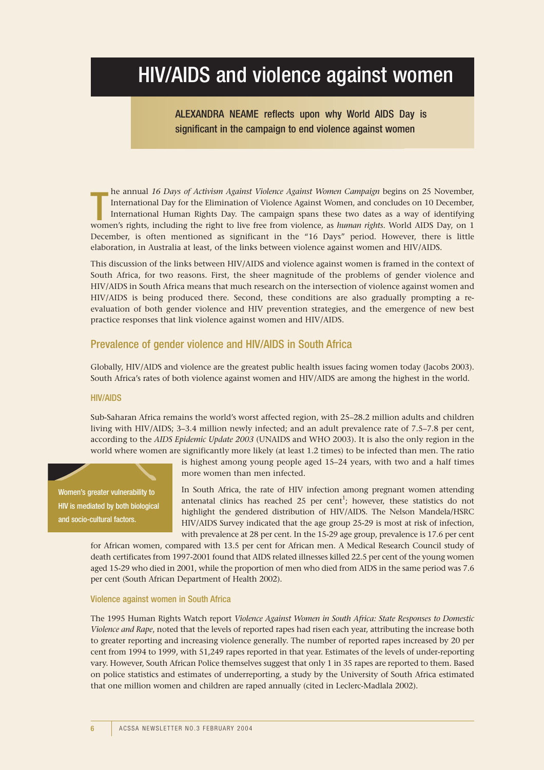# HIV/AIDS and violence against women

ALEXANDRA NEAME reflects upon why World AIDS Day is significant in the campaign to end violence against women

The annual 16 Days of Activism Against Violence Against Women Campaign begins on 25 November,<br>International Day for the Elimination of Violence Against Women, and concludes on 10 December,<br>International Human Rights Day. T he annual *16 Days of Activism Against Violence Against Women Campaign* begins on 25 November, International Day for the Elimination of Violence Against Women, and concludes on 10 December, International Human Rights Day. The campaign spans these two dates as a way of identifying December, is often mentioned as significant in the "16 Days" period. However, there is little elaboration, in Australia at least, of the links between violence against women and HIV/AIDS.

This discussion of the links between HIV/AIDS and violence against women is framed in the context of South Africa, for two reasons. First, the sheer magnitude of the problems of gender violence and HIV/AIDS in South Africa means that much research on the intersection of violence against women and HIV/AIDS is being produced there. Second, these conditions are also gradually prompting a reevaluation of both gender violence and HIV prevention strategies, and the emergence of new best practice responses that link violence against women and HIV/AIDS.

# Prevalence of gender violence and HIV/AIDS in South Africa

Globally, HIV/AIDS and violence are the greatest public health issues facing women today (Jacobs 2003). South Africa's rates of both violence against women and HIV/AIDS are among the highest in the world.

### HIV/AIDS

Women's greater vulnerability to HIV is mediated by both biological

and socio-cultural factors.

Sub-Saharan Africa remains the world's worst affected region, with 25–28.2 million adults and children living with HIV/AIDS; 3–3.4 million newly infected; and an adult prevalence rate of 7.5–7.8 per cent, according to the *AIDS Epidemic Update 2003* (UNAIDS and WHO 2003). It is also the only region in the world where women are significantly more likely (at least 1.2 times) to be infected than men. The ratio

> is highest among young people aged 15–24 years, with two and a half times more women than men infected.

In South Africa, the rate of HIV infection among pregnant women attending antenatal clinics has reached 25 per cent<sup>1</sup>; however, these statistics do not highlight the gendered distribution of HIV/AIDS. The Nelson Mandela/HSRC HIV/AIDS Survey indicated that the age group 25-29 is most at risk of infection, with prevalence at 28 per cent. In the 15-29 age group, prevalence is 17.6 per cent

for African women, compared with 13.5 per cent for African men. A Medical Research Council study of death certificates from 1997-2001 found that AIDS related illnesses killed 22.5 per cent of the young women aged 15-29 who died in 2001, while the proportion of men who died from AIDS in the same period was 7.6 per cent (South African Department of Health 2002).

### Violence against women in South Africa

The 1995 Human Rights Watch report *Violence Against Women in South Africa: State Responses to Domestic Violence and Rape*, noted that the levels of reported rapes had risen each year, attributing the increase both to greater reporting and increasing violence generally. The number of reported rapes increased by 20 per cent from 1994 to 1999, with 51,249 rapes reported in that year. Estimates of the levels of under-reporting vary. However, South African Police themselves suggest that only 1 in 35 rapes are reported to them. Based on police statistics and estimates of underreporting, a study by the University of South Africa estimated that one million women and children are raped annually (cited in Leclerc-Madlala 2002).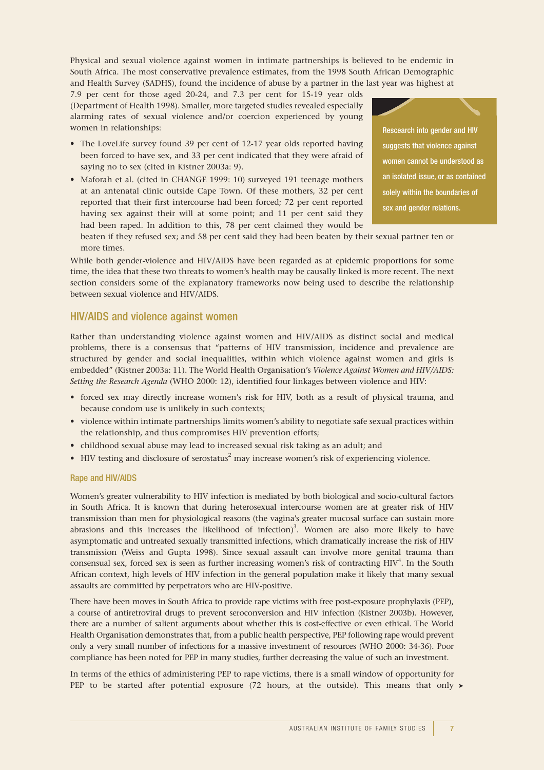Physical and sexual violence against women in intimate partnerships is believed to be endemic in South Africa. The most conservative prevalence estimates, from the 1998 South African Demographic and Health Survey (SADHS), found the incidence of abuse by a partner in the last year was highest at

7.9 per cent for those aged 20-24, and 7.3 per cent for 15-19 year olds (Department of Health 1998). Smaller, more targeted studies revealed especially alarming rates of sexual violence and/or coercion experienced by young women in relationships:

- The LoveLife survey found 39 per cent of 12-17 year olds reported having been forced to have sex, and 33 per cent indicated that they were afraid of saying no to sex (cited in Kistner 2003a: 9).
- Maforah et al. (cited in CHANGE 1999: 10) surveyed 191 teenage mothers at an antenatal clinic outside Cape Town. Of these mothers, 32 per cent reported that their first intercourse had been forced; 72 per cent reported having sex against their will at some point; and 11 per cent said they had been raped. In addition to this, 78 per cent claimed they would be



beaten if they refused sex; and 58 per cent said they had been beaten by their sexual partner ten or more times.

While both gender-violence and HIV/AIDS have been regarded as at epidemic proportions for some time, the idea that these two threats to women's health may be causally linked is more recent. The next section considers some of the explanatory frameworks now being used to describe the relationship between sexual violence and HIV/AIDS.

# HIV/AIDS and violence against women

Rather than understanding violence against women and HIV/AIDS as distinct social and medical problems, there is a consensus that "patterns of HIV transmission, incidence and prevalence are structured by gender and social inequalities, within which violence against women and girls is embedded" (Kistner 2003a: 11). The World Health Organisation's *Violence Against Women and HIV/AIDS: Setting the Research Agenda* (WHO 2000: 12), identified four linkages between violence and HIV:

- forced sex may directly increase women's risk for HIV, both as a result of physical trauma, and because condom use is unlikely in such contexts;
- violence within intimate partnerships limits women's ability to negotiate safe sexual practices within the relationship, and thus compromises HIV prevention efforts;
- childhood sexual abuse may lead to increased sexual risk taking as an adult; and
- HIV testing and disclosure of serostatus<sup>2</sup> may increase women's risk of experiencing violence.

### Rape and HIV/AIDS

Women's greater vulnerability to HIV infection is mediated by both biological and socio-cultural factors in South Africa. It is known that during heterosexual intercourse women are at greater risk of HIV transmission than men for physiological reasons (the vagina's greater mucosal surface can sustain more abrasions and this increases the likelihood of infection)<sup>3</sup>. Women are also more likely to have asymptomatic and untreated sexually transmitted infections, which dramatically increase the risk of HIV transmission (Weiss and Gupta 1998). Since sexual assault can involve more genital trauma than consensual sex, forced sex is seen as further increasing women's risk of contracting  $HIV<sup>4</sup>$ . In the South African context, high levels of HIV infection in the general population make it likely that many sexual assaults are committed by perpetrators who are HIV-positive.

There have been moves in South Africa to provide rape victims with free post-exposure prophylaxis (PEP), a course of antiretroviral drugs to prevent seroconversion and HIV infection (Kistner 2003b). However, there are a number of salient arguments about whether this is cost-effective or even ethical. The World Health Organisation demonstrates that, from a public health perspective, PEP following rape would prevent only a very small number of infections for a massive investment of resources (WHO 2000: 34-36)*.* Poor compliance has been noted for PEP in many studies, further decreasing the value of such an investment.

In terms of the ethics of administering PEP to rape victims, there is a small window of opportunity for PEP to be started after potential exposure (72 hours, at the outside). This means that only  $\blacktriangleright$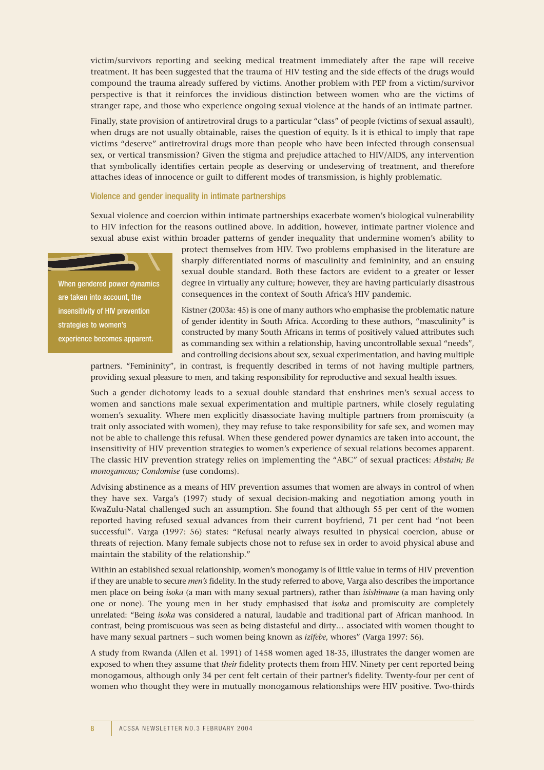victim/survivors reporting and seeking medical treatment immediately after the rape will receive treatment. It has been suggested that the trauma of HIV testing and the side effects of the drugs would compound the trauma already suffered by victims. Another problem with PEP from a victim/survivor perspective is that it reinforces the invidious distinction between women who are the victims of stranger rape, and those who experience ongoing sexual violence at the hands of an intimate partner.

Finally, state provision of antiretroviral drugs to a particular "class" of people (victims of sexual assault), when drugs are not usually obtainable, raises the question of equity. Is it is ethical to imply that rape victims "deserve" antiretroviral drugs more than people who have been infected through consensual sex, or vertical transmission? Given the stigma and prejudice attached to HIV/AIDS, any intervention that symbolically identifies certain people as deserving or undeserving of treatment, and therefore attaches ideas of innocence or guilt to different modes of transmission, is highly problematic.

### Violence and gender inequality in intimate partnerships

Sexual violence and coercion within intimate partnerships exacerbate women's biological vulnerability to HIV infection for the reasons outlined above. In addition, however, intimate partner violence and sexual abuse exist within broader patterns of gender inequality that undermine women's ability to

When gendered power dynamics are taken into account, the insensitivity of HIV prevention strategies to women's experience becomes apparent.

protect themselves from HIV. Two problems emphasised in the literature are sharply differentiated norms of masculinity and femininity, and an ensuing sexual double standard. Both these factors are evident to a greater or lesser degree in virtually any culture; however, they are having particularly disastrous consequences in the context of South Africa's HIV pandemic.

Kistner (2003a: 45) is one of many authors who emphasise the problematic nature of gender identity in South Africa. According to these authors, "masculinity" is constructed by many South Africans in terms of positively valued attributes such as commanding sex within a relationship, having uncontrollable sexual "needs", and controlling decisions about sex, sexual experimentation, and having multiple

partners. "Femininity", in contrast, is frequently described in terms of not having multiple partners, providing sexual pleasure to men, and taking responsibility for reproductive and sexual health issues.

Such a gender dichotomy leads to a sexual double standard that enshrines men's sexual access to women and sanctions male sexual experimentation and multiple partners, while closely regulating women's sexuality. Where men explicitly disassociate having multiple partners from promiscuity (a trait only associated with women), they may refuse to take responsibility for safe sex, and women may not be able to challenge this refusal. When these gendered power dynamics are taken into account, the insensitivity of HIV prevention strategies to women's experience of sexual relations becomes apparent. The classic HIV prevention strategy relies on implementing the "ABC" of sexual practices: *Abstain; Be monogamous; Condomise* (use condoms).

Advising abstinence as a means of HIV prevention assumes that women are always in control of when they have sex. Varga's (1997) study of sexual decision-making and negotiation among youth in KwaZulu-Natal challenged such an assumption. She found that although 55 per cent of the women reported having refused sexual advances from their current boyfriend, 71 per cent had "not been successful". Varga (1997: 56) states: "Refusal nearly always resulted in physical coercion, abuse or threats of rejection. Many female subjects chose not to refuse sex in order to avoid physical abuse and maintain the stability of the relationship."

Within an established sexual relationship, women's monogamy is of little value in terms of HIV prevention if they are unable to secure *men's* fidelity. In the study referred to above, Varga also describes the importance men place on being *isoka* (a man with many sexual partners), rather than *isishimane* (a man having only one or none). The young men in her study emphasised that *isoka* and promiscuity are completely unrelated: "Being *isoka* was considered a natural, laudable and traditional part of African manhood. In contrast, being promiscuous was seen as being distasteful and dirty… associated with women thought to have many sexual partners – such women being known as *izifebe*, whores" (Varga 1997: 56).

A study from Rwanda (Allen et al. 1991) of 1458 women aged 18-35, illustrates the danger women are exposed to when they assume that *their* fidelity protects them from HIV. Ninety per cent reported being monogamous, although only 34 per cent felt certain of their partner's fidelity. Twenty-four per cent of women who thought they were in mutually monogamous relationships were HIV positive. Two-thirds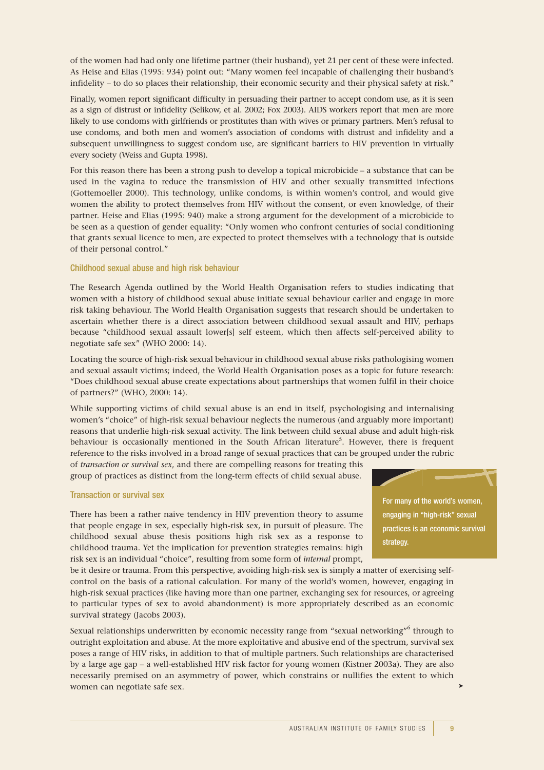of the women had had only one lifetime partner (their husband), yet 21 per cent of these were infected. As Heise and Elias (1995: 934) point out: "Many women feel incapable of challenging their husband's infidelity – to do so places their relationship, their economic security and their physical safety at risk."

Finally, women report significant difficulty in persuading their partner to accept condom use, as it is seen as a sign of distrust or infidelity (Selikow, et al. 2002; Fox 2003). AIDS workers report that men are more likely to use condoms with girlfriends or prostitutes than with wives or primary partners. Men's refusal to use condoms, and both men and women's association of condoms with distrust and infidelity and a subsequent unwillingness to suggest condom use, are significant barriers to HIV prevention in virtually every society (Weiss and Gupta 1998).

For this reason there has been a strong push to develop a topical microbicide – a substance that can be used in the vagina to reduce the transmission of HIV and other sexually transmitted infections (Gottemoeller 2000). This technology, unlike condoms, is within women's control, and would give women the ability to protect themselves from HIV without the consent, or even knowledge, of their partner. Heise and Elias (1995: 940) make a strong argument for the development of a microbicide to be seen as a question of gender equality: "Only women who confront centuries of social conditioning that grants sexual licence to men, are expected to protect themselves with a technology that is outside of their personal control."

### Childhood sexual abuse and high risk behaviour

The Research Agenda outlined by the World Health Organisation refers to studies indicating that women with a history of childhood sexual abuse initiate sexual behaviour earlier and engage in more risk taking behaviour. The World Health Organisation suggests that research should be undertaken to ascertain whether there is a direct association between childhood sexual assault and HIV, perhaps because "childhood sexual assault lower[s] self esteem, which then affects self-perceived ability to negotiate safe sex" (WHO 2000: 14).

Locating the source of high-risk sexual behaviour in childhood sexual abuse risks pathologising women and sexual assault victims; indeed, the World Health Organisation poses as a topic for future research: "Does childhood sexual abuse create expectations about partnerships that women fulfil in their choice of partners?" (WHO, 2000: 14).

While supporting victims of child sexual abuse is an end in itself, psychologising and internalising women's "choice" of high-risk sexual behaviour neglects the numerous (and arguably more important) reasons that underlie high-risk sexual activity. The link between child sexual abuse and adult high-risk behaviour is occasionally mentioned in the South African literature<sup>5</sup>. However, there is frequent reference to the risks involved in a broad range of sexual practices that can be grouped under the rubric

of *transaction or survival sex*, and there are compelling reasons for treating this group of practices as distinct from the long-term effects of child sexual abuse.

### Transaction or survival sex

There has been a rather naive tendency in HIV prevention theory to assume that people engage in sex, especially high-risk sex, in pursuit of pleasure. The childhood sexual abuse thesis positions high risk sex as a response to childhood trauma. Yet the implication for prevention strategies remains: high risk sex is an individual "choice", resulting from some form of *internal* prompt,

be it desire or trauma. From this perspective, avoiding high-risk sex is simply a matter of exercising selfcontrol on the basis of a rational calculation. For many of the world's women, however, engaging in high-risk sexual practices (like having more than one partner, exchanging sex for resources, or agreeing to particular types of sex to avoid abandonment) is more appropriately described as an economic survival strategy (Jacobs 2003).

Sexual relationships underwritten by economic necessity range from "sexual networking"<sup>6</sup> through to outright exploitation and abuse. At the more exploitative and abusive end of the spectrum, survival sex poses a range of HIV risks, in addition to that of multiple partners. Such relationships are characterised by a large age gap – a well-established HIV risk factor for young women (Kistner 2003a). They are also necessarily premised on an asymmetry of power, which constrains or nullifies the extent to which women can negotiate safe sex.

For many of the world's women, engaging in "high-risk" sexual practices is an economic survival strategy.

➤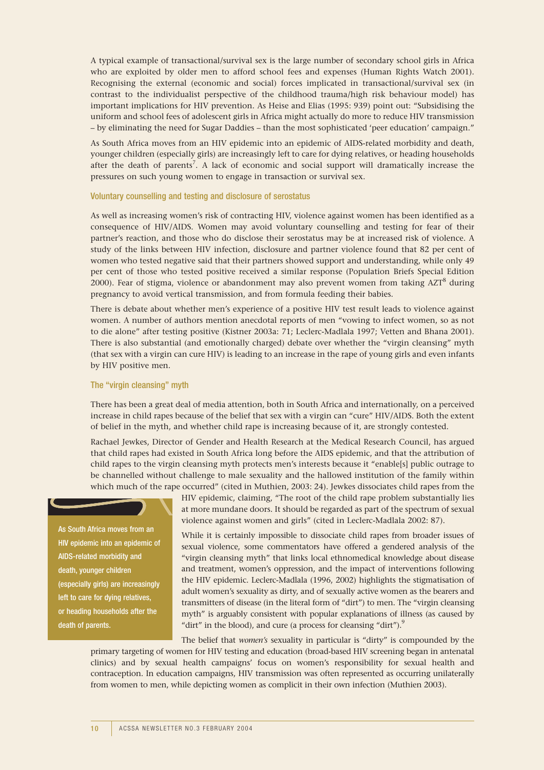A typical example of transactional/survival sex is the large number of secondary school girls in Africa who are exploited by older men to afford school fees and expenses (Human Rights Watch 2001). Recognising the external (economic and social) forces implicated in transactional/survival sex (in contrast to the individualist perspective of the childhood trauma/high risk behaviour model) has important implications for HIV prevention. As Heise and Elias (1995: 939) point out: "Subsidising the uniform and school fees of adolescent girls in Africa might actually do more to reduce HIV transmission – by eliminating the need for Sugar Daddies – than the most sophisticated 'peer education' campaign."

As South Africa moves from an HIV epidemic into an epidemic of AIDS-related morbidity and death, younger children (especially girls) are increasingly left to care for dying relatives, or heading households after the death of parents<sup>7</sup>. A lack of economic and social support will dramatically increase the pressures on such young women to engage in transaction or survival sex.

### Voluntary counselling and testing and disclosure of serostatus

As well as increasing women's risk of contracting HIV, violence against women has been identified as a consequence of HIV/AIDS. Women may avoid voluntary counselling and testing for fear of their partner's reaction, and those who do disclose their serostatus may be at increased risk of violence. A study of the links between HIV infection, disclosure and partner violence found that 82 per cent of women who tested negative said that their partners showed support and understanding, while only 49 per cent of those who tested positive received a similar response (Population Briefs Special Edition 2000). Fear of stigma, violence or abandonment may also prevent women from taking AZT<sup>8</sup> during pregnancy to avoid vertical transmission, and from formula feeding their babies.

There is debate about whether men's experience of a positive HIV test result leads to violence against women. A number of authors mention anecdotal reports of men "vowing to infect women, so as not to die alone" after testing positive (Kistner 2003a: 71; Leclerc-Madlala 1997; Vetten and Bhana 2001). There is also substantial (and emotionally charged) debate over whether the "virgin cleansing" myth (that sex with a virgin can cure HIV) is leading to an increase in the rape of young girls and even infants by HIV positive men.

### The "virgin cleansing" myth

There has been a great deal of media attention, both in South Africa and internationally, on a perceived increase in child rapes because of the belief that sex with a virgin can "cure" HIV/AIDS. Both the extent of belief in the myth, and whether child rape is increasing because of it, are strongly contested.

Rachael Jewkes, Director of Gender and Health Research at the Medical Research Council, has argued that child rapes had existed in South Africa long before the AIDS epidemic, and that the attribution of child rapes to the virgin cleansing myth protects men's interests because it "enable[s] public outrage to be channelled without challenge to male sexuality and the hallowed institution of the family within which much of the rape occurred" (cited in Muthien, 2003: 24). Jewkes dissociates child rapes from the

As South Africa moves from an HIV epidemic into an epidemic of AIDS-related morbidity and death, younger children (especially girls) are increasingly left to care for dying relatives, or heading households after the death of parents.

HIV epidemic, claiming, "The root of the child rape problem substantially lies at more mundane doors. It should be regarded as part of the spectrum of sexual violence against women and girls" (cited in Leclerc-Madlala 2002: 87).

While it is certainly impossible to dissociate child rapes from broader issues of sexual violence, some commentators have offered a gendered analysis of the "virgin cleansing myth" that links local ethnomedical knowledge about disease and treatment, women's oppression, and the impact of interventions following the HIV epidemic. Leclerc-Madlala (1996, 2002) highlights the stigmatisation of adult women's sexuality as dirty, and of sexually active women as the bearers and transmitters of disease (in the literal form of "dirt") to men. The "virgin cleansing myth" is arguably consistent with popular explanations of illness (as caused by "dirt" in the blood), and cure (a process for cleansing "dirt"). $9$ 

The belief that *women's* sexuality in particular is "dirty" is compounded by the primary targeting of women for HIV testing and education (broad-based HIV screening began in antenatal clinics) and by sexual health campaigns' focus on women's responsibility for sexual health and contraception. In education campaigns, HIV transmission was often represented as occurring unilaterally from women to men, while depicting women as complicit in their own infection (Muthien 2003).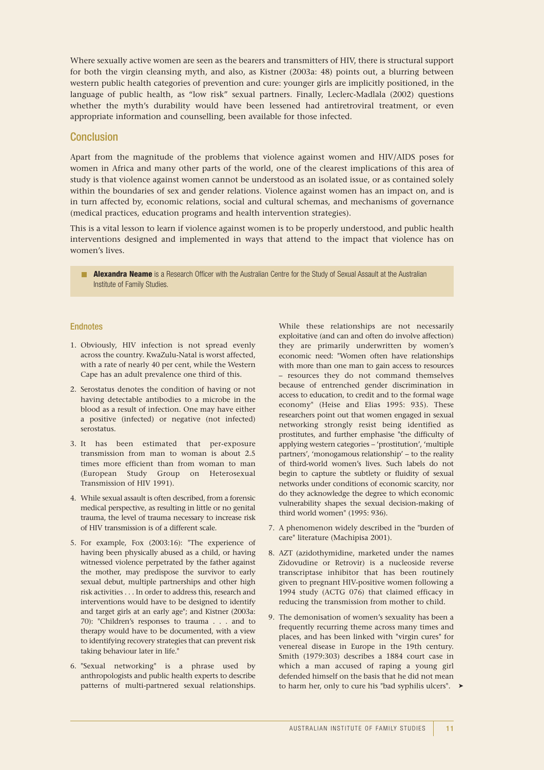Where sexually active women are seen as the bearers and transmitters of HIV, there is structural support for both the virgin cleansing myth, and also, as Kistner (2003a: 48) points out, a blurring between western public health categories of prevention and cure: younger girls are implicitly positioned, in the language of public health, as "low risk" sexual partners. Finally, Leclerc-Madlala (2002) questions whether the myth's durability would have been lessened had antiretroviral treatment, or even appropriate information and counselling, been available for those infected.

### Conclusion

Apart from the magnitude of the problems that violence against women and HIV/AIDS poses for women in Africa and many other parts of the world, one of the clearest implications of this area of study is that violence against women cannot be understood as an isolated issue, or as contained solely within the boundaries of sex and gender relations. Violence against women has an impact on, and is in turn affected by, economic relations, social and cultural schemas, and mechanisms of governance (medical practices, education programs and health intervention strategies).

This is a vital lesson to learn if violence against women is to be properly understood, and public health interventions designed and implemented in ways that attend to the impact that violence has on women's lives.

**Alexandra Neame** is a Research Officer with the Australian Centre for the Study of Sexual Assault at the Australian Institute of Family Studies.

### Endnotes

- 1. Obviously, HIV infection is not spread evenly across the country. KwaZulu-Natal is worst affected, with a rate of nearly 40 per cent, while the Western Cape has an adult prevalence one third of this.
- 2. Serostatus denotes the condition of having or not having detectable antibodies to a microbe in the blood as a result of infection. One may have either a positive (infected) or negative (not infected) serostatus.
- 3. It has been estimated that per-exposure transmission from man to woman is about 2.5 times more efficient than from woman to man (European Study Group on Heterosexual Transmission of HIV 1991).
- 4. While sexual assault is often described, from a forensic medical perspective, as resulting in little or no genital trauma, the level of trauma necessary to increase risk of HIV transmission is of a different scale.
- 5. For example, Fox (2003:16): "The experience of having been physically abused as a child, or having witnessed violence perpetrated by the father against the mother, may predispose the survivor to early sexual debut, multiple partnerships and other high risk activities . . . In order to address this, research and interventions would have to be designed to identify and target girls at an early age"; and Kistner (2003a: 70): "Children's responses to trauma . . . and to therapy would have to be documented, with a view to identifying recovery strategies that can prevent risk taking behaviour later in life."
- 6. "Sexual networking" is a phrase used by anthropologists and public health experts to describe patterns of multi-partnered sexual relationships.

While these relationships are not necessarily exploitative (and can and often do involve affection) they are primarily underwritten by women's economic need: "Women often have relationships with more than one man to gain access to resources – resources they do not command themselves because of entrenched gender discrimination in access to education, to credit and to the formal wage economy" (Heise and Elias 1995: 935). These researchers point out that women engaged in sexual networking strongly resist being identified as prostitutes, and further emphasise "the difficulty of applying western categories – 'prostitution', 'multiple partners', 'monogamous relationship' – to the reality of third-world women's lives. Such labels do not begin to capture the subtlety or fluidity of sexual networks under conditions of economic scarcity, nor do they acknowledge the degree to which economic vulnerability shapes the sexual decision-making of third world women" (1995: 936).

- 7. A phenomenon widely described in the "burden of care" literature (Machipisa 2001).
- 8. AZT (azidothymidine, marketed under the names Zidovudine or Retrovir) is a nucleoside reverse transcriptase inhibitor that has been routinely given to pregnant HIV-positive women following a 1994 study (ACTG 076) that claimed efficacy in reducing the transmission from mother to child.
- 9. The demonisation of women's sexuality has been a frequently recurring theme across many times and places, and has been linked with "virgin cures" for venereal disease in Europe in the 19th century. Smith (1979:303) describes a 1884 court case in which a man accused of raping a young girl defended himself on the basis that he did not mean to harm her, only to cure his "bad syphilis ulcers". ►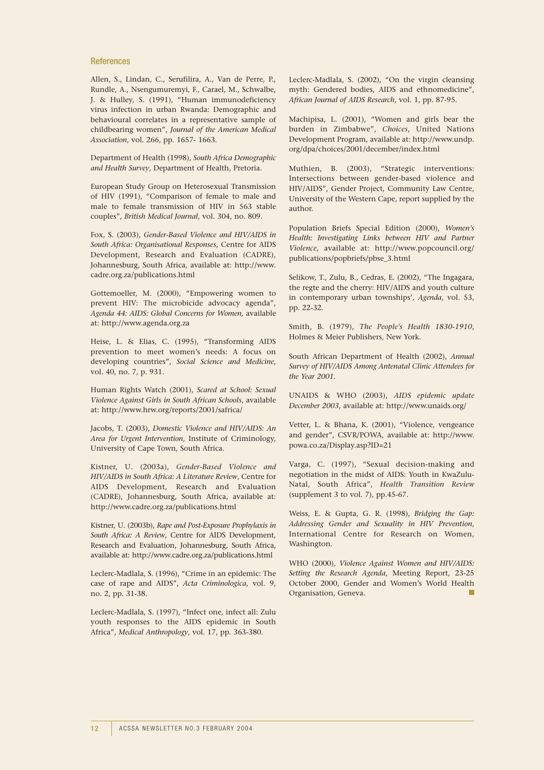#### References

Allen, S., Lindan, C., Serufilira, A., Van de Perre, P., Rundle, A., Nsengumuremyi, F., Carael, M., Schwalbe, J. & Hulley, S. (1991), "Human immunodeficiency virus infection in urban Rwanda: Demographic and behavioural correlates in a representative sample of childbearing women", *Journal of the American Medical Association*, vol. 266, pp. 1657- 1663.

Department of Health (1998), *South Africa Demographic and Health Survey*, Department of Health, Pretoria.

European Study Group on Heterosexual Transmission of HIV (1991), "Comparison of female to male and male to female transmission of HIV in 563 stable couples", *British Medical Journal*, vol. 304, no. 809.

Fox, S. (2003), *Gender-Based Violence and HIV/AIDS in South Africa: Organisational Responses*, Centre for AIDS Development, Research and Evaluation (CADRE), Johannesburg, South Africa, available at: http://www. cadre.org.za/publications.html

Gottemoeller, M. (2000), "Empowering women to prevent HIV: The microbicide advocacy agenda", *Agenda 44: AIDS: Global Concerns for Women,* available at: http://www.agenda.org.za

Heise, L. & Elias, C. (1995), "Transforming AIDS prevention to meet women's needs: A focus on developing countries", *Social Science and Medicine*, vol. 40, no. 7, p. 931.

Human Rights Watch (2001), *Scared at School: Sexual Violence Against Girls in South African Schools*, available at: http://www.hrw.org/reports/2001/safrica/

Jacobs, T. (2003), *Domestic Violence and HIV/AIDS: An Area for Urgent Intervention*, Institute of Criminology, University of Cape Town, South Africa.

Kistner, U. (2003a), *Gender-Based Violence and HIV/AIDS in South Africa: A Literature Review*, Centre for AIDS Development, Research and Evaluation (CADRE), Johannesburg, South Africa, available at: http://www.cadre.org.za/publications.html

Kistner, U. (2003b), *Rape and Post-Exposure Prophylaxis in South Africa: A Review*, Centre for AIDS Development, Research and Evaluation, Johannesburg, South Africa, available at: http://www.cadre.org.za/publications.html

Leclerc-Madlala, S. (1996), "Crime in an epidemic: The case of rape and AIDS", *Acta Criminologica*, vol. 9, no. 2, pp. 31-38.

Leclerc-Madlala, S. (1997), "Infect one, infect all: Zulu youth responses to the AIDS epidemic in South Africa", *Medical Anthropology*, vol. 17, pp. 363-380.

Leclerc-Madlala, S. (2002), "On the virgin cleansing myth: Gendered bodies, AIDS and ethnomedicine", *African Journal of AIDS Research*, vol. 1, pp. 87-95.

Machipisa, L. (2001), "Women and girls bear the burden in Zimbabwe", *Choices*, United Nations Development Program, available at: http://www.undp. org/dpa/choices/2001/december/index.html

Muthien, B. (2003), "Strategic interventions: Intersections between gender-based violence and HIV/AIDS", Gender Project, Community Law Centre, University of the Western Cape, report supplied by the author.

Population Briefs Special Edition (2000), *Women's Health: Investigating Links between HIV and Partner Violence*, available at: http://www.popcouncil.org/ publications/popbriefs/pbse\_3.html

Selikow, T., Zulu, B., Cedras, E. (2002), "The Ingagara, the regte and the cherry: HIV/AIDS and youth culture in contemporary urban townships', *Agenda*, vol. 53, pp. 22-32.

Smith, B. (1979), *The People's Health 1830-1910*, Holmes & Meier Publishers, New York.

South African Department of Health (2002), *Annual Survey of HIV/AIDS Among Antenatal Clinic Attendees for the Year 2001.*

UNAIDS & WHO (2003), *AIDS epidemic update December 2003*, available at: http://www.unaids.org/

Vetter, L. & Bhana, K. (2001), "Violence, vengeance and gender", CSVR/POWA, available at: http://www. powa.co.za/Display.asp?ID=21

Varga, C. (1997), "Sexual decision-making and negotiation in the midst of AIDS: Youth in KwaZulu-Natal, South Africa", *Health Transition Review* (supplement 3 to vol. 7), pp.45-67.

Weiss, E. & Gupta, G. R. (1998), *Bridging the Gap: Addressing Gender and Sexuality in HIV Prevention*, International Centre for Research on Women, Washington.

WHO (2000), *Violence Against Women and HIV/AIDS: Setting the Research Agenda*, Meeting Report, 23-25 October 2000, Gender and Women's World Health Organisation, Geneva.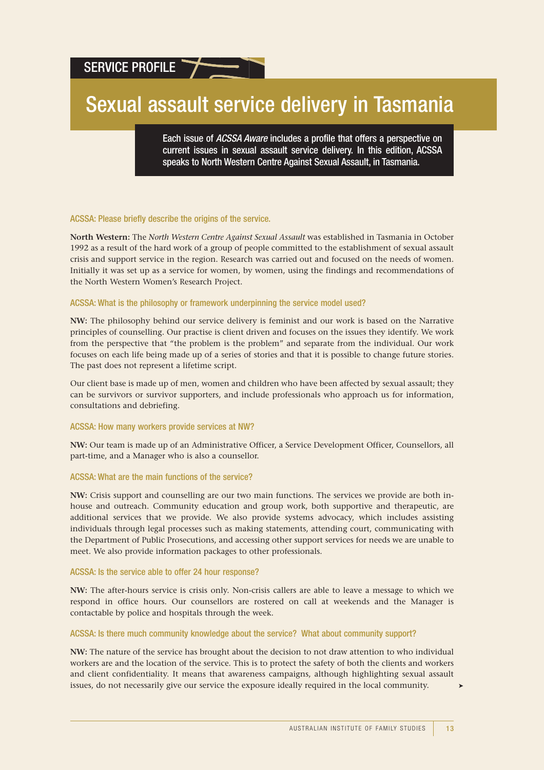# Sexual assault service delivery in Tasmania

Each issue of *ACSSA Aware* includes a profile that offers a perspective on current issues in sexual assault service delivery. In this edition, ACSSA speaks to North Western Centre Against Sexual Assault, in Tasmania.

### ACSSA: Please briefly describe the origins of the service.

**North Western:** The *North Western Centre Against Sexual Assault* was established in Tasmania in October 1992 as a result of the hard work of a group of people committed to the establishment of sexual assault crisis and support service in the region. Research was carried out and focused on the needs of women. Initially it was set up as a service for women, by women, using the findings and recommendations of the North Western Women's Research Project.

### ACSSA: What is the philosophy or framework underpinning the service model used?

**NW:** The philosophy behind our service delivery is feminist and our work is based on the Narrative principles of counselling. Our practise is client driven and focuses on the issues they identify. We work from the perspective that "the problem is the problem" and separate from the individual. Our work focuses on each life being made up of a series of stories and that it is possible to change future stories. The past does not represent a lifetime script.

Our client base is made up of men, women and children who have been affected by sexual assault; they can be survivors or survivor supporters, and include professionals who approach us for information, consultations and debriefing.

### ACSSA: How many workers provide services at NW?

**NW:** Our team is made up of an Administrative Officer, a Service Development Officer, Counsellors, all part-time, and a Manager who is also a counsellor.

### ACSSA: What are the main functions of the service?

**NW:** Crisis support and counselling are our two main functions. The services we provide are both inhouse and outreach. Community education and group work, both supportive and therapeutic, are additional services that we provide. We also provide systems advocacy, which includes assisting individuals through legal processes such as making statements, attending court, communicating with the Department of Public Prosecutions, and accessing other support services for needs we are unable to meet. We also provide information packages to other professionals.

### ACSSA: Is the service able to offer 24 hour response?

**NW:** The after-hours service is crisis only. Non-crisis callers are able to leave a message to which we respond in office hours. Our counsellors are rostered on call at weekends and the Manager is contactable by police and hospitals through the week.

### ACSSA: Is there much community knowledge about the service? What about community support?

**NW:** The nature of the service has brought about the decision to not draw attention to who individual workers are and the location of the service. This is to protect the safety of both the clients and workers and client confidentiality. It means that awareness campaigns, although highlighting sexual assault issues, do not necessarily give our service the exposure ideally required in the local community.

➤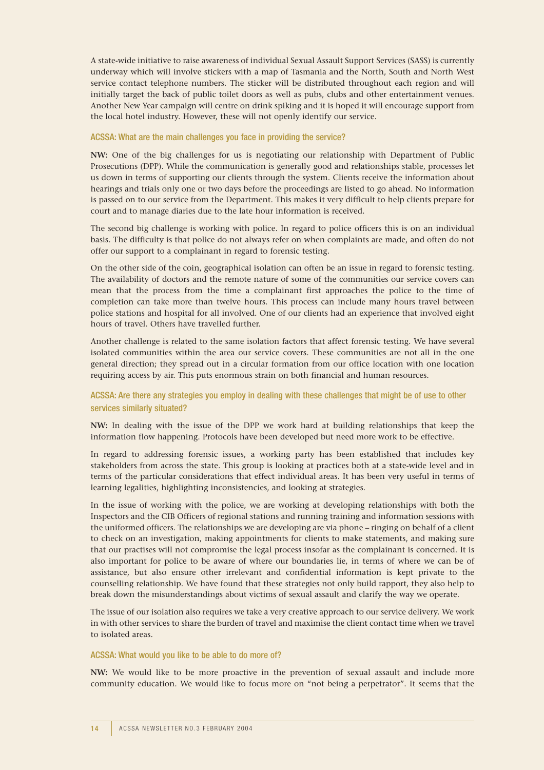A state-wide initiative to raise awareness of individual Sexual Assault Support Services (SASS) is currently underway which will involve stickers with a map of Tasmania and the North, South and North West service contact telephone numbers. The sticker will be distributed throughout each region and will initially target the back of public toilet doors as well as pubs, clubs and other entertainment venues. Another New Year campaign will centre on drink spiking and it is hoped it will encourage support from the local hotel industry. However, these will not openly identify our service.

### ACSSA: What are the main challenges you face in providing the service?

**NW:** One of the big challenges for us is negotiating our relationship with Department of Public Prosecutions (DPP). While the communication is generally good and relationships stable, processes let us down in terms of supporting our clients through the system. Clients receive the information about hearings and trials only one or two days before the proceedings are listed to go ahead. No information is passed on to our service from the Department. This makes it very difficult to help clients prepare for court and to manage diaries due to the late hour information is received.

The second big challenge is working with police. In regard to police officers this is on an individual basis. The difficulty is that police do not always refer on when complaints are made, and often do not offer our support to a complainant in regard to forensic testing.

On the other side of the coin, geographical isolation can often be an issue in regard to forensic testing. The availability of doctors and the remote nature of some of the communities our service covers can mean that the process from the time a complainant first approaches the police to the time of completion can take more than twelve hours. This process can include many hours travel between police stations and hospital for all involved. One of our clients had an experience that involved eight hours of travel. Others have travelled further.

Another challenge is related to the same isolation factors that affect forensic testing. We have several isolated communities within the area our service covers. These communities are not all in the one general direction; they spread out in a circular formation from our office location with one location requiring access by air. This puts enormous strain on both financial and human resources.

### ACSSA: Are there any strategies you employ in dealing with these challenges that might be of use to other services similarly situated?

**NW:** In dealing with the issue of the DPP we work hard at building relationships that keep the information flow happening. Protocols have been developed but need more work to be effective.

In regard to addressing forensic issues, a working party has been established that includes key stakeholders from across the state. This group is looking at practices both at a state-wide level and in terms of the particular considerations that effect individual areas. It has been very useful in terms of learning legalities, highlighting inconsistencies, and looking at strategies.

In the issue of working with the police, we are working at developing relationships with both the Inspectors and the CIB Officers of regional stations and running training and information sessions with the uniformed officers. The relationships we are developing are via phone – ringing on behalf of a client to check on an investigation, making appointments for clients to make statements, and making sure that our practises will not compromise the legal process insofar as the complainant is concerned. It is also important for police to be aware of where our boundaries lie, in terms of where we can be of assistance, but also ensure other irrelevant and confidential information is kept private to the counselling relationship. We have found that these strategies not only build rapport, they also help to break down the misunderstandings about victims of sexual assault and clarify the way we operate.

The issue of our isolation also requires we take a very creative approach to our service delivery. We work in with other services to share the burden of travel and maximise the client contact time when we travel to isolated areas.

### ACSSA: What would you like to be able to do more of?

**NW:** We would like to be more proactive in the prevention of sexual assault and include more community education. We would like to focus more on "not being a perpetrator". It seems that the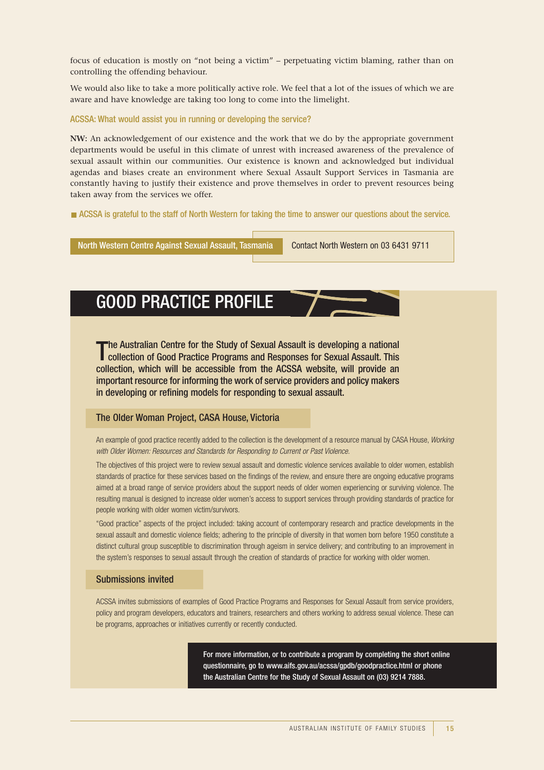focus of education is mostly on "not being a victim" – perpetuating victim blaming, rather than on controlling the offending behaviour.

We would also like to take a more politically active role. We feel that a lot of the issues of which we are aware and have knowledge are taking too long to come into the limelight.

#### ACSSA: What would assist you in running or developing the service?

**NW:** An acknowledgement of our existence and the work that we do by the appropriate government departments would be useful in this climate of unrest with increased awareness of the prevalence of sexual assault within our communities. Our existence is known and acknowledged but individual agendas and biases create an environment where Sexual Assault Support Services in Tasmania are constantly having to justify their existence and prove themselves in order to prevent resources being taken away from the services we offer.

ACSSA is grateful to the staff of North Western for taking the time to answer our questions about the service.

North Western Centre Against Sexual Assault, Tasmania Contact North Western on 03 6431 9711

# GOOD PRACTICE PROFILE

The Australian Centre for the Study of Sexual Assault is developing a national collection of Good Practice Programs and Responses for Sexual Assault. This collection, which will be accessible from the ACSSA website, will provide an important resource for informing the work of service providers and policy makers in developing or refining models for responding to sexual assault.

### The Older Woman Project, CASA House, Victoria

An example of good practice recently added to the collection is the development of a resource manual by CASA House, *Working with Older Women: Resources and Standards for Responding to Current or Past Violence*.

The objectives of this project were to review sexual assault and domestic violence services available to older women, establish standards of practice for these services based on the findings of the review, and ensure there are ongoing educative programs aimed at a broad range of service providers about the support needs of older women experiencing or surviving violence. The resulting manual is designed to increase older women's access to support services through providing standards of practice for people working with older women victim/survivors.

"Good practice" aspects of the project included: taking account of contemporary research and practice developments in the sexual assault and domestic violence fields; adhering to the principle of diversity in that women born before 1950 constitute a distinct cultural group susceptible to discrimination through ageism in service delivery; and contributing to an improvement in the system's responses to sexual assault through the creation of standards of practice for working with older women.

### Submissions invited

ACSSA invites submissions of examples of Good Practice Programs and Responses for Sexual Assault from service providers, policy and program developers, educators and trainers, researchers and others working to address sexual violence. These can be programs, approaches or initiatives currently or recently conducted.

> For more information, or to contribute a program by completing the short online questionnaire, go to www.aifs.gov.au/acssa/gpdb/goodpractice.html or phone the Australian Centre for the Study of Sexual Assault on (03) 9214 7888.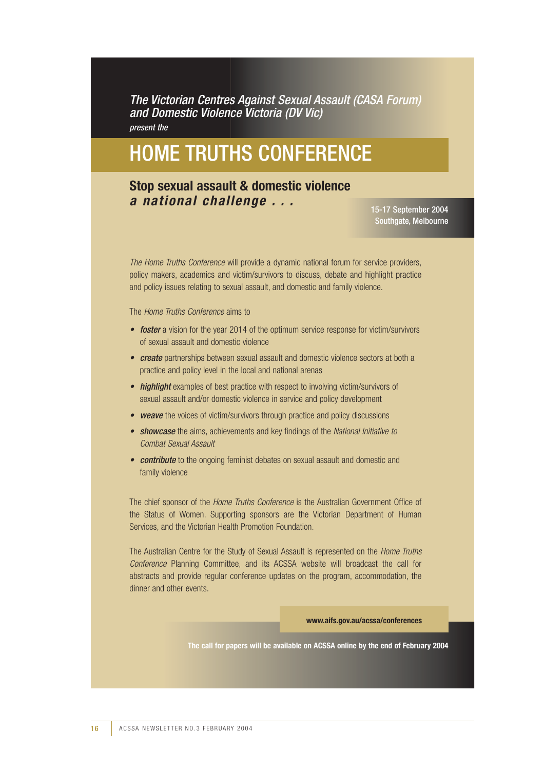*The Victorian Centres Against Sexual Assault (CASA Forum) and Domestic Violence Victoria (DV Vic)* 

*present the*

# HOME TRUTHS CONFERENCE

# **Stop sexual assault & domestic violence** *a* national challenge . . . 15-17 September 2004

Southgate, Melbourne

*The Home Truths Conference* will provide a dynamic national forum for service providers, policy makers, academics and victim/survivors to discuss, debate and highlight practice and policy issues relating to sexual assault, and domestic and family violence.

The *Home Truths Conference* aims to

- *foster* a vision for the year 2014 of the optimum service response for victim/survivors of sexual assault and domestic violence
- *create* partnerships between sexual assault and domestic violence sectors at both a practice and policy level in the local and national arenas
- *highlight* examples of best practice with respect to involving victim/survivors of sexual assault and/or domestic violence in service and policy development
- *• weave* the voices of victim/survivors through practice and policy discussions
- *• showcase* the aims, achievements and key findings of the *National Initiative to Combat Sexual Assault*
- *• contribute* to the ongoing feminist debates on sexual assault and domestic and family violence

The chief sponsor of the *Home Truths Conference* is the Australian Government Office of the Status of Women. Supporting sponsors are the Victorian Department of Human Services, and the Victorian Health Promotion Foundation.

The Australian Centre for the Study of Sexual Assault is represented on the *Home Truths Conference* Planning Committee, and its ACSSA website will broadcast the call for abstracts and provide regular conference updates on the program, accommodation, the dinner and other events.

**www.aifs.gov.au/acssa/conferences**

**The call for papers will be available on ACSSA online by the end of February 2004**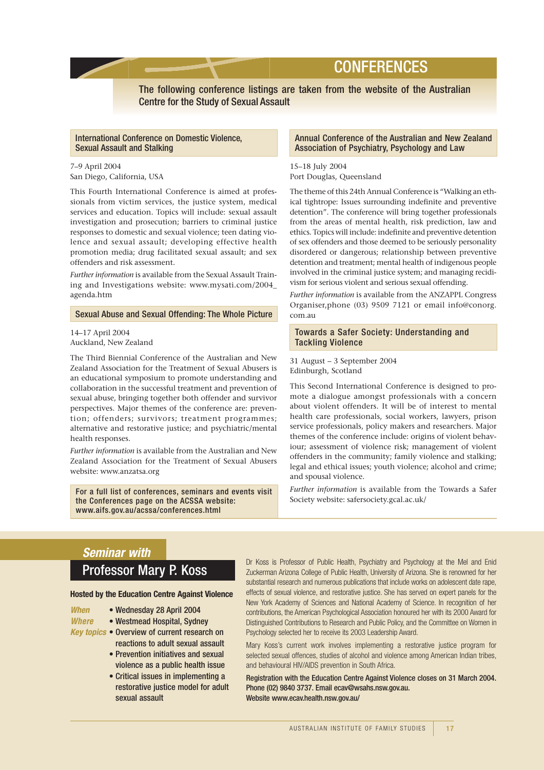# **CONFERENCES**

The following conference listings are taken from the website of the Australian Centre for the Study of Sexual Assault

International Conference on Domestic Violence, Sexual Assault and Stalking

7–9 April 2004 San Diego, California, USA

This Fourth International Conference is aimed at professionals from victim services, the justice system, medical services and education. Topics will include: sexual assault investigation and prosecution; barriers to criminal justice responses to domestic and sexual violence; teen dating violence and sexual assault; developing effective health promotion media; drug facilitated sexual assault; and sex offenders and risk assessment.

*Further information* is available from the Sexual Assault Training and Investigations website: www.mysati.com/2004\_ agenda.htm

### Sexual Abuse and Sexual Offending: The Whole Picture

### 14–17 April 2004 Auckland, New Zealand

The Third Biennial Conference of the Australian and New Zealand Association for the Treatment of Sexual Abusers is an educational symposium to promote understanding and collaboration in the successful treatment and prevention of sexual abuse, bringing together both offender and survivor perspectives. Major themes of the conference are: prevention; offenders; survivors; treatment programmes; alternative and restorative justice; and psychiatric/mental health responses.

*Further information* is available from the Australian and New Zealand Association for the Treatment of Sexual Abusers website: www.anzatsa.org

For a full list of conferences, seminars and events visit the Conferences page on the ACSSA website: www.aifs.gov.au/acssa/conferences.html

### Annual Conference of the Australian and New Zealand Association of Psychiatry, Psychology and Law

15–18 July 2004 Port Douglas, Queensland

The theme of this 24th Annual Conference is "Walking an ethical tightrope: Issues surrounding indefinite and preventive detention". The conference will bring together professionals from the areas of mental health, risk prediction, law and ethics. Topics will include: indefinite and preventive detention of sex offenders and those deemed to be seriously personality disordered or dangerous; relationship between preventive detention and treatment; mental health of indigenous people involved in the criminal justice system; and managing recidivism for serious violent and serious sexual offending.

*Further information* is available from the ANZAPPL Congress Organiser,phone (03) 9509 7121 or email info@conorg. com.au

Towards a Safer Society: Understanding and Tackling Violence

31 August – 3 September 2004 Edinburgh, Scotland

This Second International Conference is designed to promote a dialogue amongst professionals with a concern about violent offenders. It will be of interest to mental health care professionals, social workers, lawyers, prison service professionals, policy makers and researchers. Major themes of the conference include: origins of violent behaviour; assessment of violence risk; management of violent offenders in the community; family violence and stalking; legal and ethical issues; youth violence; alcohol and crime; and spousal violence.

*Further information* is available from the Towards a Safer Society website: safersociety.gcal.ac.uk/

# *Seminar with*  Professor Mary P. Koss

### **Hosted by the Education Centre Against Violence**

- *When* Wednesday 28 April 2004
- *Where* Westmead Hospital, Sydney
- *Key topics* Overview of current research on reactions to adult sexual assault
	- Prevention initiatives and sexual violence as a public health issue
	- Critical issues in implementing a restorative justice model for adult sexual assault

Dr Koss is Professor of Public Health, Psychiatry and Psychology at the Mel and Enid Zuckerman Arizona College of Public Health, University of Arizona. She is renowned for her substantial research and numerous publications that include works on adolescent date rape, effects of sexual violence, and restorative justice. She has served on expert panels for the New York Academy of Sciences and National Academy of Science. In recognition of her contributions, the American Psychological Association honoured her with its 2000 Award for Distinguished Contributions to Research and Public Policy, and the Committee on Women in Psychology selected her to receive its 2003 Leadership Award.

Mary Koss's current work involves implementing a restorative justice program for selected sexual offences, studies of alcohol and violence among American Indian tribes, and behavioural HIV/AIDS prevention in South Africa.

Registration with the Education Centre Against Violence closes on 31 March 2004. Phone (02) 9840 3737. Email ecav@wsahs.nsw.gov.au. Website www.ecav.health.nsw.gov.au/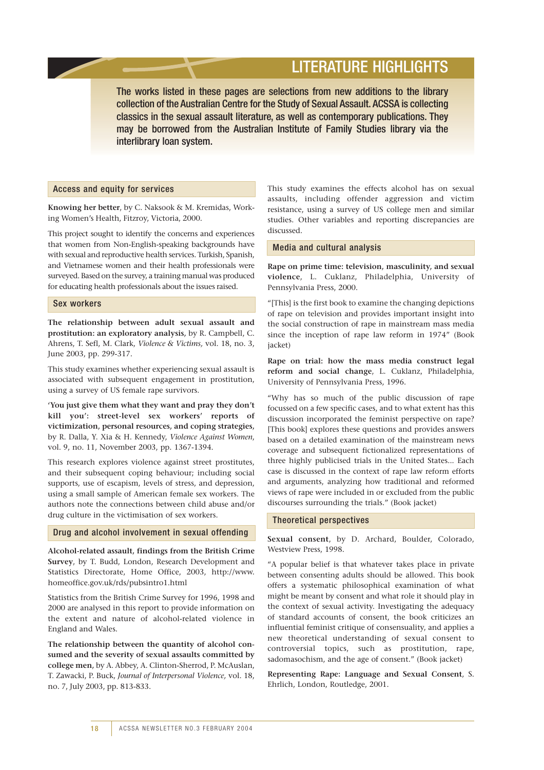# LITERATURE HIGHLIGHTS

The works listed in these pages are selections from new additions to the library collection of the Australian Centre for the Study of Sexual Assault. ACSSA is collecting classics in the sexual assault literature, as well as contemporary publications. They may be borrowed from the Australian Institute of Family Studies library via the interlibrary loan system.

#### Access and equity for services

**Knowing her better**, by C. Naksook & M. Kremidas, Working Women's Health, Fitzroy, Victoria, 2000.

This project sought to identify the concerns and experiences that women from Non-English-speaking backgrounds have with sexual and reproductive health services. Turkish, Spanish, and Vietnamese women and their health professionals were surveyed. Based on the survey, a training manual was produced for educating health professionals about the issues raised.

### Sex workers

**The relationship between adult sexual assault and prostitution: an exploratory analysis,** by R. Campbell, C. Ahrens, T. Sefl, M. Clark, *Violence & Victims,* vol. 18, no. 3, June 2003, pp. 299-317.

This study examines whether experiencing sexual assault is associated with subsequent engagement in prostitution, using a survey of US female rape survivors.

**'You just give them what they want and pray they don't kill you': street-level sex workers' reports of victimization, personal resources, and coping strategies,** by R. Dalla, Y. Xia & H. Kennedy, *Violence Against Women*, vol. 9, no. 11, November 2003, pp. 1367-1394.

This research explores violence against street prostitutes, and their subsequent coping behaviour; including social supports, use of escapism, levels of stress, and depression, using a small sample of American female sex workers. The authors note the connections between child abuse and/or drug culture in the victimisation of sex workers.

#### Drug and alcohol involvement in sexual offending

**Alcohol-related assault, findings from the British Crime Survey**, by T. Budd, London, Research Development and Statistics Directorate, Home Office, 2003, http://www. homeoffice.gov.uk/rds/pubsintro1.html

Statistics from the British Crime Survey for 1996, 1998 and 2000 are analysed in this report to provide information on the extent and nature of alcohol-related violence in England and Wales.

**The relationship between the quantity of alcohol consumed and the severity of sexual assaults committed by college men,** by A. Abbey, A. Clinton-Sherrod, P. McAuslan, T. Zawacki, P. Buck, *Journal of Interpersonal Violence,* vol. 18, no. 7, July 2003, pp. 813-833.

This study examines the effects alcohol has on sexual assaults, including offender aggression and victim resistance, using a survey of US college men and similar studies. Other variables and reporting discrepancies are discussed.

#### Media and cultural analysis

**Rape on prime time: television, masculinity, and sexual violence**, L. Cuklanz, Philadelphia, University of Pennsylvania Press, 2000.

"[This] is the first book to examine the changing depictions of rape on television and provides important insight into the social construction of rape in mainstream mass media since the inception of rape law reform in 1974" (Book jacket)

**Rape on trial: how the mass media construct legal reform and social change**, L. Cuklanz, Philadelphia, University of Pennsylvania Press, 1996.

"Why has so much of the public discussion of rape focussed on a few specific cases, and to what extent has this discussion incorporated the feminist perspective on rape? [This book] explores these questions and provides answers based on a detailed examination of the mainstream news coverage and subsequent fictionalized representations of three highly publicised trials in the United States... Each case is discussed in the context of rape law reform efforts and arguments, analyzing how traditional and reformed views of rape were included in or excluded from the public discourses surrounding the trials." (Book jacket)

#### Theoretical perspectives

**Sexual consent**, by D. Archard, Boulder, Colorado, Westview Press, 1998.

"A popular belief is that whatever takes place in private between consenting adults should be allowed. This book offers a systematic philosophical examination of what might be meant by consent and what role it should play in the context of sexual activity. Investigating the adequacy of standard accounts of consent, the book criticizes an influential feminist critique of consensuality, and applies a new theoretical understanding of sexual consent to controversial topics, such as prostitution, rape, sadomasochism, and the age of consent." (Book jacket)

**Representing Rape: Language and Sexual Consent**, S. Ehrlich, London, Routledge, 2001.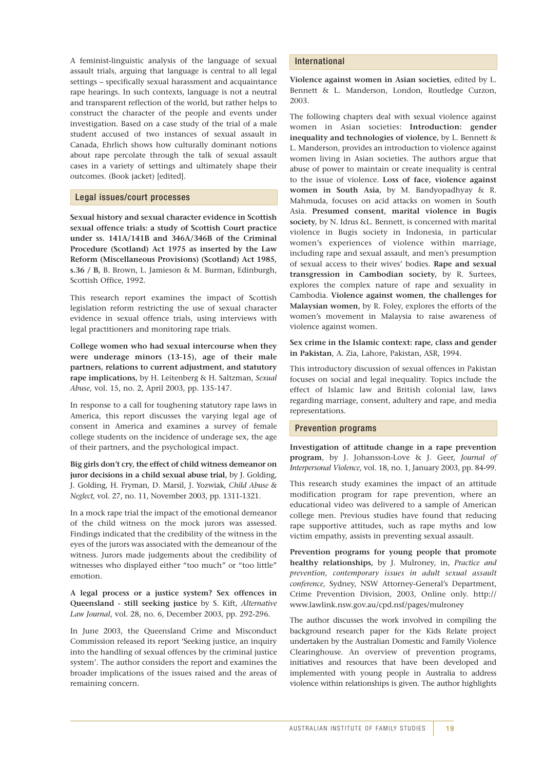A feminist-linguistic analysis of the language of sexual assault trials, arguing that language is central to all legal settings – specifically sexual harassment and acquaintance rape hearings. In such contexts, language is not a neutral and transparent reflection of the world, but rather helps to construct the character of the people and events under investigation. Based on a case study of the trial of a male student accused of two instances of sexual assault in Canada, Ehrlich shows how culturally dominant notions about rape percolate through the talk of sexual assault cases in a variety of settings and ultimately shape their outcomes. (Book jacket) [edited].

### Legal issues/court processes

**Sexual history and sexual character evidence in Scottish sexual offence trials: a study of Scottish Court practice under ss. 141A/141B and 346A/346B of the Criminal Procedure (Scotland) Act 1975 as inserted by the Law Reform (Miscellaneous Provisions) (Scotland) Act 1985, s.36 / B,** B. Brown, L. Jamieson & M. Burman**,** Edinburgh, Scottish Office, 1992.

This research report examines the impact of Scottish legislation reform restricting the use of sexual character evidence in sexual offence trials, using interviews with legal practitioners and monitoring rape trials.

**College women who had sexual intercourse when they were underage minors (13-15), age of their male partners, relations to current adjustment, and statutory rape implications,** by H. Leitenberg & H. Saltzman, *Sexual Abuse,* vol. 15, no. 2, April 2003, pp. 135-147.

In response to a call for toughening statutory rape laws in America, this report discusses the varying legal age of consent in America and examines a survey of female college students on the incidence of underage sex, the age of their partners, and the psychological impact.

**Big girls don't cry, the effect of child witness demeanor on juror decisions in a child sexual abuse trial,** by J. Golding, J. Golding, H. Fryman, D. Marsil, J. Yozwiak, *Child Abuse & Neglect,* vol. 27, no. 11, November 2003, pp. 1311-1321.

In a mock rape trial the impact of the emotional demeanor of the child witness on the mock jurors was assessed. Findings indicated that the credibility of the witness in the eyes of the jurors was associated with the demeanour of the witness. Jurors made judgements about the credibility of witnesses who displayed either "too much" or "too little" emotion.

**A legal process or a justice system? Sex offences in Queensland - still seeking justice** by S. Kift, *Alternative Law Journal*, vol. 28, no. 6, December 2003, pp. 292-296.

In June 2003, the Queensland Crime and Misconduct Commission released its report 'Seeking justice, an inquiry into the handling of sexual offences by the criminal justice system'. The author considers the report and examines the broader implications of the issues raised and the areas of remaining concern.

#### International

**Violence against women in Asian societies***,* edited by L. Bennett & L. Manderson, London, Routledge Curzon, 2003.

The following chapters deal with sexual violence against women in Asian societies: **Introduction: gender inequality and technologies of violence,** by L. Bennett & L. Manderson, provides an introduction to violence against women living in Asian societies. The authors argue that abuse of power to maintain or create inequality is central to the issue of violence. **Loss of face, violence against women in South Asia,** by M. Bandyopadhyay & R. Mahmuda, focuses on acid attacks on women in South Asia. **Presumed consent, marital violence in Bugis society,** by N. Idrus &L. Bennett, is concerned with marital violence in Bugis society in Indonesia, in particular women's experiences of violence within marriage, including rape and sexual assault, and men's presumption of sexual access to their wives' bodies. **Rape and sexual transgression in Cambodian society,** by R. Surtees, explores the complex nature of rape and sexuality in Cambodia. **Violence against women, the challenges for Malaysian women,** by R. Foley, explores the efforts of the women's movement in Malaysia to raise awareness of violence against women.

**Sex crime in the Islamic context: rape, class and gender in Pakistan**, A. Zia, Lahore, Pakistan, ASR, 1994.

This introductory discussion of sexual offences in Pakistan focuses on social and legal inequality. Topics include the effect of Islamic law and British colonial law, laws regarding marriage, consent, adultery and rape, and media representations.

#### Prevention programs

**Investigation of attitude change in a rape prevention program**, by J. Johansson-Love & J. Geer, *Journal of Interpersonal Violence,* vol. 18, no. 1, January 2003, pp. 84-99.

This research study examines the impact of an attitude modification program for rape prevention, where an educational video was delivered to a sample of American college men. Previous studies have found that reducing rape supportive attitudes, such as rape myths and low victim empathy, assists in preventing sexual assault.

**Prevention programs for young people that promote healthy relationships,** by J. Mulroney, in, *Practice and prevention, contemporary issues in adult sexual assault conference,* Sydney, NSW Attorney-General's Department, Crime Prevention Division, 2003, Online only. http:// www.lawlink.nsw.gov.au/cpd.nsf/pages/mulroney

The author discusses the work involved in compiling the background research paper for the Kids Relate project undertaken by the Australian Domestic and Family Violence Clearinghouse. An overview of prevention programs, initiatives and resources that have been developed and implemented with young people in Australia to address violence within relationships is given. The author highlights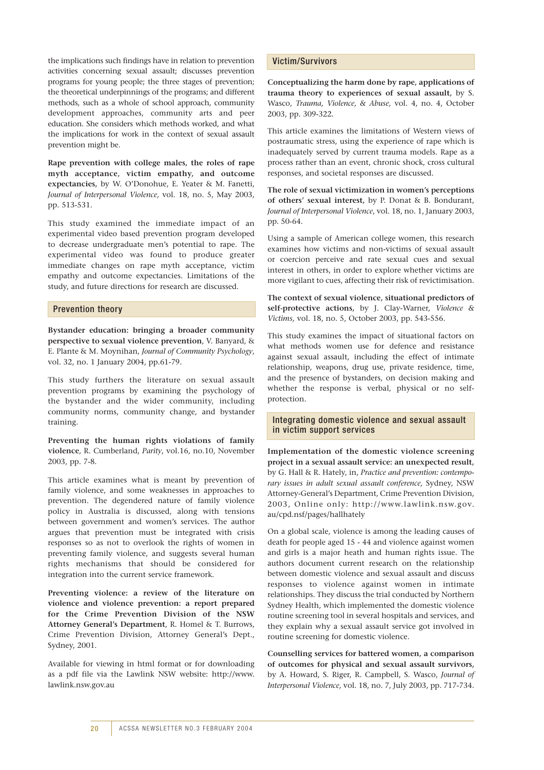the implications such findings have in relation to prevention activities concerning sexual assault; discusses prevention programs for young people; the three stages of prevention; the theoretical underpinnings of the programs; and different methods, such as a whole of school approach, community development approaches, community arts and peer education. She considers which methods worked, and what the implications for work in the context of sexual assault prevention might be.

**Rape prevention with college males, the roles of rape myth acceptance, victim empathy, and outcome expectancies,** by W. O'Donohue, E. Yeater & M. Fanetti, *Journal of Interpersonal Violence,* vol. 18, no. 5, May 2003, pp. 513-531.

This study examined the immediate impact of an experimental video based prevention program developed to decrease undergraduate men's potential to rape. The experimental video was found to produce greater immediate changes on rape myth acceptance, victim empathy and outcome expectancies. Limitations of the study, and future directions for research are discussed.

### Prevention theory

**Bystander education: bringing a broader community perspective to sexual violence prevention**, V. Banyard, & E. Plante & M. Moynihan, *Journal of Community Psychology*, vol. 32, no. 1 January 2004, pp.61-79.

This study furthers the literature on sexual assault prevention programs by examining the psychology of the bystander and the wider community, including community norms, community change, and bystander training.

**Preventing the human rights violations of family violence**, R. Cumberland, *Parity*, vol.16, no.10, November 2003, pp. 7-8.

This article examines what is meant by prevention of family violence, and some weaknesses in approaches to prevention. The degendered nature of family violence policy in Australia is discussed, along with tensions between government and women's services. The author argues that prevention must be integrated with crisis responses so as not to overlook the rights of women in preventing family violence, and suggests several human rights mechanisms that should be considered for integration into the current service framework.

**Preventing violence: a review of the literature on violence and violence prevention: a report prepared for the Crime Prevention Division of the NSW Attorney General's Department**, R. Homel & T. Burrows, Crime Prevention Division, Attorney General's Dept., Sydney, 2001.

Available for viewing in html format or for downloading as a pdf file via the Lawlink NSW website: http://www. lawlink.nsw.gov.au

#### Victim/Survivors

**Conceptualizing the harm done by rape, applications of trauma theory to experiences of sexual assault,** by S. Wasco, *Trauma, Violence, & Abuse,* vol. 4, no. 4, October 2003, pp. 309-322.

This article examines the limitations of Western views of postraumatic stress, using the experience of rape which is inadequately served by current trauma models. Rape as a process rather than an event, chronic shock, cross cultural responses, and societal responses are discussed.

**The role of sexual victimization in women's perceptions of others' sexual interest,** by P. Donat & B. Bondurant, *Journal of Interpersonal Violence*, vol. 18, no. 1, January 2003, pp. 50-64.

Using a sample of American college women, this research examines how victims and non-victims of sexual assault or coercion perceive and rate sexual cues and sexual interest in others, in order to explore whether victims are more vigilant to cues, affecting their risk of revictimisation.

**The context of sexual violence, situational predictors of self-protective actions,** by J. Clay-Warner, *Violence & Victims,* vol. 18, no. 5, October 2003, pp. 543-556.

This study examines the impact of situational factors on what methods women use for defence and resistance against sexual assault, including the effect of intimate relationship, weapons, drug use, private residence, time, and the presence of bystanders, on decision making and whether the response is verbal, physical or no selfprotection.

Integrating domestic violence and sexual assault in victim support services

**Implementation of the domestic violence screening project in a sexual assault service: an unexpected result,** by G. Hall & R. Hately, in, *Practice and prevention: contemporary issues in adult sexual assault conference,* Sydney, NSW Attorney-General's Department, Crime Prevention Division, 2003, Online only: http://www.lawlink.nsw.gov. au/cpd.nsf/pages/hallhately

On a global scale, violence is among the leading causes of death for people aged 15 - 44 and violence against women and girls is a major heath and human rights issue. The authors document current research on the relationship between domestic violence and sexual assault and discuss responses to violence against women in intimate relationships. They discuss the trial conducted by Northern Sydney Health, which implemented the domestic violence routine screening tool in several hospitals and services, and they explain why a sexual assault service got involved in routine screening for domestic violence.

**Counselling services for battered women, a comparison of outcomes for physical and sexual assault survivors,** by A. Howard, S. Riger, R. Campbell, S. Wasco, *Journal of Interpersonal Violence,* vol. 18, no. 7, July 2003, pp. 717-734.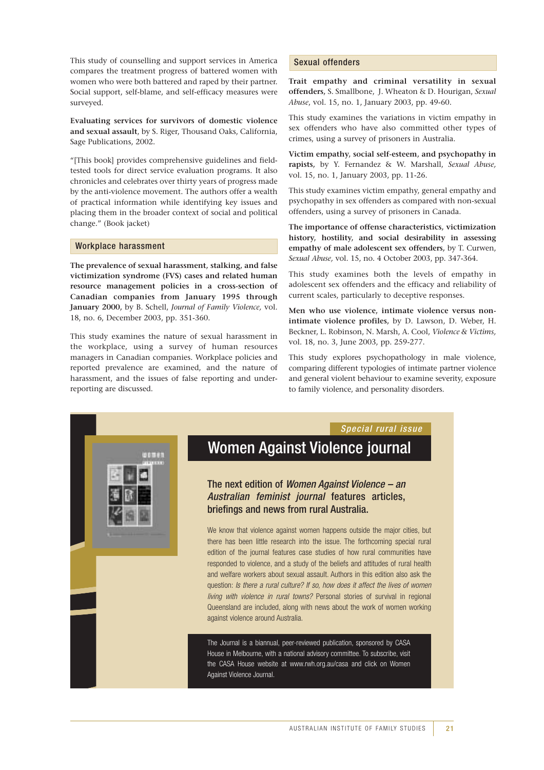This study of counselling and support services in America compares the treatment progress of battered women with women who were both battered and raped by their partner. Social support, self-blame, and self-efficacy measures were surveyed.

**Evaluating services for survivors of domestic violence and sexual assault**, by S. Riger, Thousand Oaks, California, Sage Publications, 2002.

"[This book] provides comprehensive guidelines and fieldtested tools for direct service evaluation programs. It also chronicles and celebrates over thirty years of progress made by the anti-violence movement. The authors offer a wealth of practical information while identifying key issues and placing them in the broader context of social and political change." (Book jacket)

#### Workplace harassment

**The prevalence of sexual harassment, stalking, and false victimization syndrome (FVS) cases and related human resource management policies in a cross-section of Canadian companies from January 1995 through January 2000,** by B. Schell, *Journal of Family Violence,* vol. 18, no. 6, December 2003, pp. 351-360.

This study examines the nature of sexual harassment in the workplace, using a survey of human resources managers in Canadian companies. Workplace policies and reported prevalence are examined, and the nature of harassment, and the issues of false reporting and underreporting are discussed.

women

### Sexual offenders

**Trait empathy and criminal versatility in sexual offenders,** S. Smallbone, J. Wheaton & D. Hourigan, *Sexual Abuse*, vol. 15, no. 1, January 2003, pp. 49-60.

This study examines the variations in victim empathy in sex offenders who have also committed other types of crimes, using a survey of prisoners in Australia.

**Victim empathy, social self-esteem, and psychopathy in rapists,** by Y. Fernandez & W. Marshall, *Sexual Abuse,* vol. 15, no. 1, January 2003, pp. 11-26.

This study examines victim empathy, general empathy and psychopathy in sex offenders as compared with non-sexual offenders, using a survey of prisoners in Canada.

**The importance of offense characteristics, victimization history, hostility, and social desirability in assessing empathy of male adolescent sex offenders,** by T. Curwen, *Sexual Abuse,* vol. 15, no. 4 October 2003, pp. 347-364.

This study examines both the levels of empathy in adolescent sex offenders and the efficacy and reliability of current scales, particularly to deceptive responses.

**Men who use violence, intimate violence versus nonintimate violence profiles,** by D. Lawson, D. Weber, H. Beckner, L. Robinson, N. Marsh, A. Cool, *Violence & Victims,* vol. 18, no. 3, June 2003, pp. 259-277.

This study explores psychopathology in male violence, comparing different typologies of intimate partner violence and general violent behaviour to examine severity, exposure to family violence, and personality disorders.

### *Special rural issue*



The next edition of *Women Against Violence – an Australian feminist journal* features articles, briefings and news from rural Australia.

We know that violence against women happens outside the major cities, but there has been little research into the issue. The forthcoming special rural edition of the journal features case studies of how rural communities have responded to violence, and a study of the beliefs and attitudes of rural health and welfare workers about sexual assault. Authors in this edition also ask the question: *Is there a rural culture? If so, how does it affect the lives of women living with violence in rural towns?* Personal stories of survival in regional Queensland are included, along with news about the work of women working against violence around Australia.

The Journal is a biannual, peer-reviewed publication, sponsored by CASA House in Melbourne, with a national advisory committee. To subscribe, visit the CASA House website at www.rwh.org.au/casa and click on Women Against Violence Journal.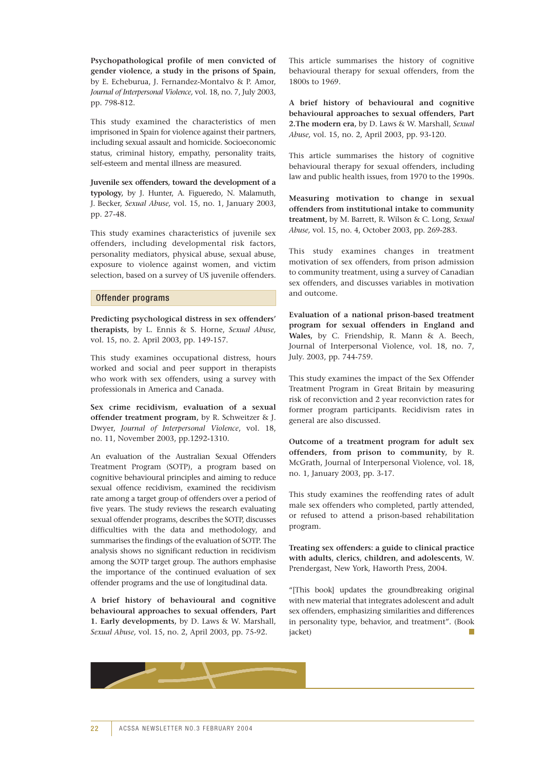**Psychopathological profile of men convicted of gender violence, a study in the prisons of Spain,** by E. Echeburua, J. Fernandez-Montalvo & P. Amor, *Journal of Interpersonal Violence,* vol. 18, no. 7, July 2003, pp. 798-812.

This study examined the characteristics of men imprisoned in Spain for violence against their partners, including sexual assault and homicide. Socioeconomic status, criminal history, empathy, personality traits, self-esteem and mental illness are measured.

**Juvenile sex offenders, toward the development of a typology,** by J. Hunter, A. Figueredo, N. Malamuth, J. Becker, *Sexual Abuse,* vol. 15, no. 1, January 2003, pp. 27-48.

This study examines characteristics of juvenile sex offenders, including developmental risk factors, personality mediators, physical abuse, sexual abuse, exposure to violence against women, and victim selection, based on a survey of US juvenile offenders.

### Offender programs

**Predicting psychological distress in sex offenders' therapists,** by L. Ennis & S. Horne, *Sexual Abuse,* vol. 15, no. 2. April 2003, pp. 149-157.

This study examines occupational distress, hours worked and social and peer support in therapists who work with sex offenders, using a survey with professionals in America and Canada.

**Sex crime recidivism, evaluation of a sexual offender treatment program,** by R. Schweitzer & J. Dwyer, *Journal of Interpersonal Violence*, vol. 18, no. 11, November 2003, pp.1292-1310.

An evaluation of the Australian Sexual Offenders Treatment Program (SOTP), a program based on cognitive behavioural principles and aiming to reduce sexual offence recidivism, examined the recidivism rate among a target group of offenders over a period of five years. The study reviews the research evaluating sexual offender programs, describes the SOTP, discusses difficulties with the data and methodology, and summarises the findings of the evaluation of SOTP. The analysis shows no significant reduction in recidivism among the SOTP target group. The authors emphasise the importance of the continued evaluation of sex offender programs and the use of longitudinal data.

**A brief history of behavioural and cognitive behavioural approaches to sexual offenders, Part 1. Early developments,** by D. Laws & W. Marshall, *Sexual Abuse,* vol. 15, no. 2, April 2003, pp. 75-92.

This article summarises the history of cognitive behavioural therapy for sexual offenders, from the 1800s to 1969.

**A brief history of behavioural and cognitive behavioural approaches to sexual offenders, Part 2.The modern era,** by D. Laws & W. Marshall, *Sexual Abuse,* vol. 15, no. 2, April 2003, pp. 93-120.

This article summarises the history of cognitive behavioural therapy for sexual offenders, including law and public health issues, from 1970 to the 1990s.

**Measuring motivation to change in sexual offenders from institutional intake to community treatment,** by M. Barrett, R. Wilson & C. Long, *Sexual Abuse,* vol. 15, no. 4, October 2003, pp. 269-283.

This study examines changes in treatment motivation of sex offenders, from prison admission to community treatment, using a survey of Canadian sex offenders, and discusses variables in motivation and outcome.

**Evaluation of a national prison-based treatment program for sexual offenders in England and Wales,** by C. Friendship, R. Mann & A. Beech, Journal of Interpersonal Violence, vol. 18, no. 7, July. 2003, pp. 744-759.

This study examines the impact of the Sex Offender Treatment Program in Great Britain by measuring risk of reconviction and 2 year reconviction rates for former program participants. Recidivism rates in general are also discussed.

**Outcome of a treatment program for adult sex offenders, from prison to community,** by R. McGrath, Journal of Interpersonal Violence, vol. 18, no. 1, January 2003, pp. 3-17.

This study examines the reoffending rates of adult male sex offenders who completed, partly attended, or refused to attend a prison-based rehabilitation program.

**Treating sex offenders: a guide to clinical practice with adults, clerics, children, and adolescents**, W. Prendergast, New York, Haworth Press, 2004.

"[This book] updates the groundbreaking original with new material that integrates adolescent and adult sex offenders, emphasizing similarities and differences in personality type, behavior, and treatment". (Book iacket)

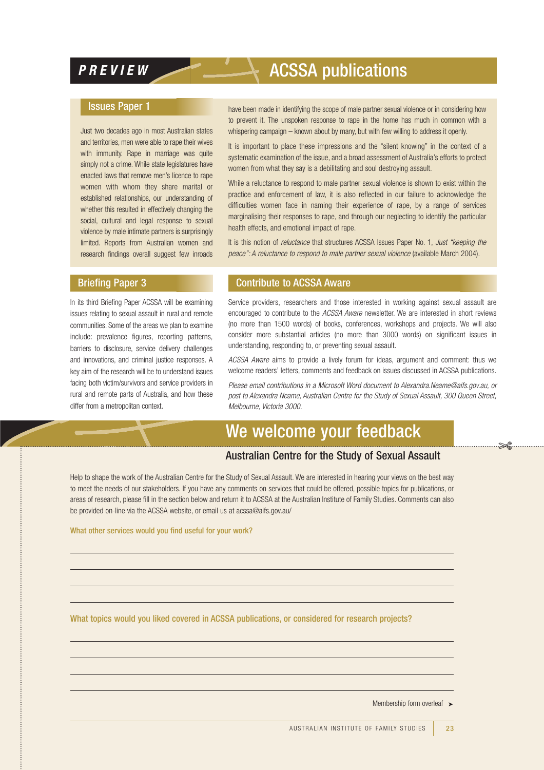# PREVIEW **ACSSA** publications

### Issues Paper 1

Just two decades ago in most Australian states and territories, men were able to rape their wives with immunity. Rape in marriage was quite simply not a crime. While state legislatures have enacted laws that remove men's licence to rape women with whom they share marital or established relationships, our understanding of whether this resulted in effectively changing the social, cultural and legal response to sexual violence by male intimate partners is surprisingly limited. Reports from Australian women and research findings overall suggest few inroads have been made in identifying the scope of male partner sexual violence or in considering how to prevent it. The unspoken response to rape in the home has much in common with a whispering campaign – known about by many, but with few willing to address it openly.

It is important to place these impressions and the "silent knowing" in the context of a systematic examination of the issue, and a broad assessment of Australia's efforts to protect women from what they say is a debilitating and soul destroying assault.

While a reluctance to respond to male partner sexual violence is shown to exist within the practice and enforcement of law, it is also reflected in our failure to acknowledge the difficulties women face in naming their experience of rape, by a range of services marginalising their responses to rape, and through our neglecting to identify the particular health effects, and emotional impact of rape.

It is this notion of *reluctance* that structures ACSSA Issues Paper No. 1, *Just "keeping the peace": A reluctance to respond to male partner sexual violence* (available March 2004).

In its third Briefing Paper ACSSA will be examining issues relating to sexual assault in rural and remote communities. Some of the areas we plan to examine include: prevalence figures, reporting patterns, barriers to disclosure, service delivery challenges and innovations, and criminal justice responses. A key aim of the research will be to understand issues facing both victim/survivors and service providers in rural and remote parts of Australia, and how these differ from a metropolitan context.

### Briefing Paper 3 Contribute to ACSSA Aware

Service providers, researchers and those interested in working against sexual assault are encouraged to contribute to the *ACSSA Aware* newsletter. We are interested in short reviews (no more than 1500 words) of books, conferences, workshops and projects. We will also consider more substantial articles (no more than 3000 words) on significant issues in understanding, responding to, or preventing sexual assault.

*ACSSA Aware* aims to provide a lively forum for ideas, argument and comment: thus we welcome readers' letters, comments and feedback on issues discussed in ACSSA publications.

*Please email contributions in a Microsoft Word document to Alexandra.Neame@aifs.gov.au, or post to Alexandra Neame, Australian Centre for the Study of Sexual Assault, 300 Queen Street, Melbourne, Victoria 3000.*

# We welcome your feedback

### Australian Centre for the Study of Sexual Assault

Help to shape the work of the Australian Centre for the Study of Sexual Assault. We are interested in hearing your views on the best way to meet the needs of our stakeholders. If you have any comments on services that could be offered, possible topics for publications, or areas of research, please fill in the section below and return it to ACSSA at the Australian Institute of Family Studies. Comments can also be provided on-line via the ACSSA website, or email us at acssa@aifs.gov.au/

What other services would you find useful for your work?

What topics would you liked covered in ACSSA publications, or considered for research projects?

Membership form overleaf ►

 $\frac{1}{2}$